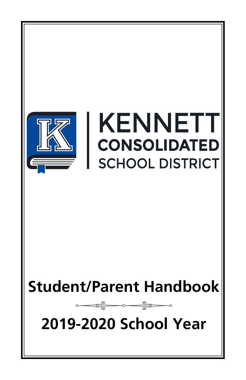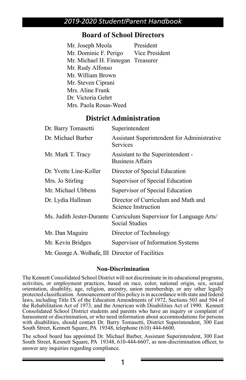## **Board of School Directors**

Mr. Joseph Meola President Mr. Dominic F. Perigo Vice President Mr. Michael H. Finnegan Treasurer Mr. Rudy Alfonso Mr. William Brown Mr. Steven Ciprani Mrs. Aline Frank Dr. Victoria Gehrt Mrs. Paola Rosas-Weed

# **District Administration**

| Dr. Barry Tomasetti                               | Superintendent                                                                       |
|---------------------------------------------------|--------------------------------------------------------------------------------------|
| Dr. Michael Barber                                | Assistant Superintendent for Administrative<br><b>Services</b>                       |
| Mr. Mark T. Tracy                                 | Assistant to the Superintendent -<br><b>Business Affairs</b>                         |
| Dr. Yvette Line-Koller                            | Director of Special Education                                                        |
| Mrs. Jo Stirling                                  | Supervisor of Special Education                                                      |
| Mr. Michael Ubbens                                | Supervisor of Special Education                                                      |
| Dr. Lydia Hallman                                 | Director of Curriculum and Math and<br>Science Instruction                           |
|                                                   | Ms. Judith Jester-Durante Curriculum Supervisor for Language Arts/<br>Social Studies |
| Mr. Dan Maguire                                   | Director of Technology                                                               |
| Mr. Kevin Bridges                                 | Supervisor of Information Systems                                                    |
| Mr. George A. Wolhafe, III Director of Facilities |                                                                                      |

#### **Non-Discrimination**

The Kennett Consolidated School District will not discriminate in its educational programs, activities, or employment practices, based on race, color, national origin, sex, sexual orientation, disability, age, religion, ancestry, union membership, or any other legally protected classification. Announcement of this policy isin accordance with state and federal laws, including Title IX of the Education Amendments of 1972, Sections 503 and 504 of the Rehabilitation Act of 1973, and the American with Disabilities Act of 1990. Kennett Consolidated School District students and parents who have an inquiry or complaint of harassment or discrimination, or who need information about accommodations for persons with disabilities, should contact Dr. Barry Tomasetti, District Superintendent, 300 East South Street, Kennett Square, PA 19348, telephone (610) 444-6600.

The school board has appointed Dr. Michael Barber, Assistant Superintendent, 300 East South Street, Kennett Square, PA 19348, 610-444-6607, as non-discrimination officer, to answer any inquiries regarding compliance.

1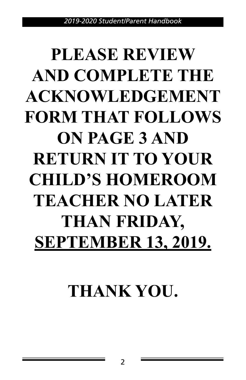# **PLEASE REVIEW AND COMPLETE THE ACKNOWLEDGEMENT FORM THAT FOLLOWS ON PAGE 3 AND RETURN IT TO YOUR CHILD'S HOMEROOM TEACHER NO LATER THAN FRIDAY, SEPTEMBER 13, 2019.**

# **THANK YOU.**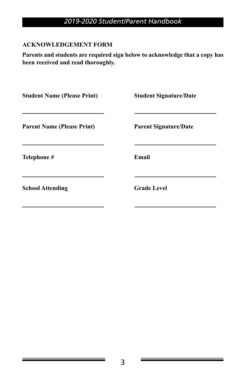#### **ACKNOWLEDGEMENT FORM**

**Parents and students are required sign below to acknowledge that a copy has been received and read thoroughly.**

| <b>Student Name (Please Print)</b> | <b>Student Signature/Date</b> |  |
|------------------------------------|-------------------------------|--|
| <b>Parent Name (Please Print)</b>  | <b>Parent Signature/Date</b>  |  |
| Telephone #                        | Email                         |  |
| <b>School Attending</b>            | <b>Grade Level</b>            |  |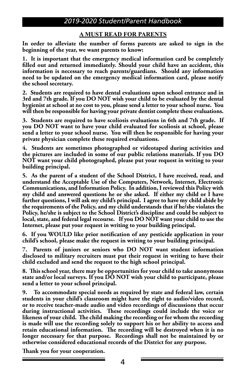#### **A MUST READ FOR PARENTS**

**In order to alleviate the number of forms parents are asked to sign in the beginning of the year, we want parents to know:**

**1. It is important that the emergency medical information card be completely filled out and returned immediately. Should your child have an accident, this information is necessary to reach parents/guardians. Should any information need to be updated on the emergency medical information card, please notify the school secretary.**

**2. Students are required to have dental evaluations upon school entrance and in 3rd and 7th grade. If you DO NOT wish your child to be evaluated by the dental hygienist at school at no cost to you, please send a letter to your school nurse. You will then be responsible for having your private dentist complete these evaluations.**

**3. Students are required to have scoliosis evaluations in 6th and 7th grade. If you DO NOT want to have your child evaluated for scoliosis at school, please send a letter to your school nurse. You will then be responsible for having your private physician complete these required evaluations.**

**4. Students are sometimes photographed or videotaped during activities and the pictures are included in some of our public relations materials. If you DO NOT want your child photographed, please put your request in writing to your building principal.**

**5. As the parent of a student of the School District, I have received, read, and understand the Acceptable Use of the Computers, Network, Internet, Electronic Communications, and Information Policy. In addition, I reviewed this Policy with my child and answered questions he or she asked. If either my child or I have further questions, I will ask my child's principal. I agree to have my child abide by the requirements of the Policy, and my child understands that if he/she violates the Policy, he/she is subject to the School District's discipline and could be subject to local, state, and federal legal recourse. If you DO NOT want your child to use the Internet, please put your request in writing to your building principal.**

**6. If you WOULD like prior notification of any pesticide application in your child's school, please make the request in writing to your building principal.**

**7. Parents of juniors or seniors who DO NOT want student information disclosed to military recruiters must put their request in writing to have their child excluded and send the request to the high school principal.**

**8. This school year, there may be opportunities for your child to take anonymous state and/or local surveys. If you DO NOT wish your child to participate, please send a letter to your school principal.**

**9. To accommodate special needs as required by state and federal law, certain students in your child's classroom might have the right to audio/video record, or to receive teacher-made audio and video recordings of discussions that occur during instructional activities. These recordings could include the voice or likeness of your child. The child making the recording or for whom the recording is made will use the recording solely to support his or her ability to access and retain educational information. The recording will be destroyed when it is no longer necessary for that purpose. Recordings shall not be maintained by or otherwise considered educational records of the District for any purpose.**

**Thank you for your cooperation.**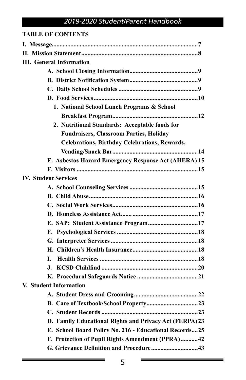| <b>TABLE OF CONTENTS</b>                                |
|---------------------------------------------------------|
|                                                         |
|                                                         |
| <b>III.</b> General Information                         |
|                                                         |
|                                                         |
|                                                         |
|                                                         |
| 1. National School Lunch Programs & School              |
|                                                         |
| 2. Nutritional Standards: Acceptable foods for          |
| <b>Fundraisers, Classroom Parties, Holiday</b>          |
| <b>Celebrations, Birthday Celebrations, Rewards,</b>    |
|                                                         |
| E. Asbestos Hazard Emergency Response Act (AHERA) 15    |
|                                                         |
| <b>IV.</b> Student Services                             |
|                                                         |
|                                                         |
|                                                         |
|                                                         |
|                                                         |
| F.                                                      |
|                                                         |
|                                                         |
| L.                                                      |
| Л.                                                      |
|                                                         |
| V. Student Information                                  |
|                                                         |
|                                                         |
|                                                         |
| D. Family Educational Rights and Privacy Act (FERPA) 23 |
| E. School Board Policy No. 216 - Educational Records25  |
| F. Protection of Pupil Rights Amendment (PPRA)42        |
| G. Grievance Definition and Procedure43                 |

 $\equiv$ 

 $\equiv$   $\equiv$   $\equiv$   $\equiv$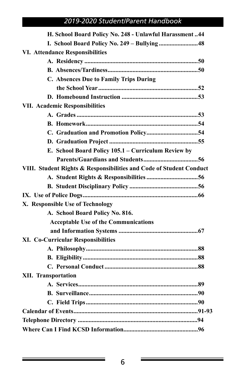| H. School Board Policy No. 248 - Unlawful Harassment44              |
|---------------------------------------------------------------------|
| I. School Board Policy No. 249 - Bullying  48                       |
| <b>VI. Attendance Responsibilities</b>                              |
|                                                                     |
|                                                                     |
| C. Absences Due to Family Trips During                              |
|                                                                     |
|                                                                     |
| VII. Academic Responsibilities                                      |
|                                                                     |
|                                                                     |
|                                                                     |
|                                                                     |
| E. School Board Policy 105.1 - Curriculum Review by                 |
|                                                                     |
| VIII. Student Rights & Responsibilities and Code of Student Conduct |
|                                                                     |
|                                                                     |
|                                                                     |
| X. Responsible Use of Technology                                    |
| A. School Board Policy No. 816.                                     |
| <b>Acceptable Use of the Communications</b>                         |
|                                                                     |
| XI. Co-Curricular Responsibilities                                  |
|                                                                     |
|                                                                     |
|                                                                     |
| <b>XII.</b> Transportation                                          |
|                                                                     |
|                                                                     |
|                                                                     |
|                                                                     |
|                                                                     |
|                                                                     |

 $\equiv$ 

 $\sim$   $\sim$   $\sim$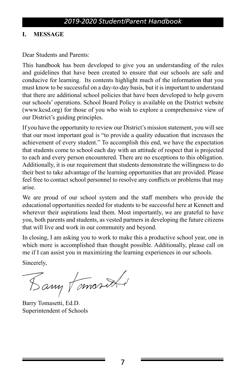#### **I. MESSAGE**

Dear Students and Parents:

This handbook has been developed to give you an understanding of the rules and guidelines that have been created to ensure that our schools are safe and conducive for learning. Its contents highlight much of the information that you must know to be successful on a day-to-day basis, but it is important to understand that there are additional school policies that have been developed to help govern our schools' operations. School Board Policy is available on the District website (www.kcsd.org) for those of you who wish to explore a comprehensive view of our District's guiding principles.

If you have the opportunity to review our District's mission statement, you will see that our most important goal is "to provide a quality education that increases the achievement of every student." To accomplish this end, we have the expectation that students come to school each day with an attitude of respect that is projected to each and every person encountered. There are no exceptions to this obligation. Additionally, it is our requirement that students demonstrate the willingness to do their best to take advantage of the learning opportunities that are provided. Please feel free to contact school personnel to resolve any conflicts or problems that may arise.

We are proud of our school system and the staff members who provide the educational opportunities needed for students to be successful here at Kennett and wherever their aspirations lead them. Most importantly, we are grateful to have you, both parents and students, as vested partners in developing the future citizens that will live and work in our community and beyond.

In closing, I am asking you to work to make this a productive school year, one in which more is accomplished than thought possible. Additionally, please call on me if I can assist you in maximizing the learning experiences in our schools.

Sincerely,

Bany Formorthe

Barry Tomasetti, Ed.D. Superintendent of Schools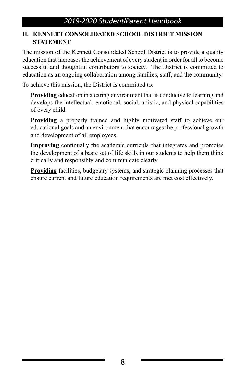#### **II. KENNETT CONSOLIDATED SCHOOL DISTRICT MISSION STATEMENT**

The mission of the Kennett Consolidated School District is to provide a quality education that increases the achievement of every student in order for all to become successful and thoughtful contributors to society. The District is committed to education as an ongoing collaboration among families, staff, and the community.

To achieve this mission, the District is committed to:

**Providing** education in a caring environment that is conducive to learning and develops the intellectual, emotional, social, artistic, and physical capabilities of every child.

**Providing** a properly trained and highly motivated staff to achieve our educational goals and an environment that encourages the professional growth and development of all employees.

**Improving** continually the academic curricula that integrates and promotes the development of a basic set of life skills in our students to help them think critically and responsibly and communicate clearly.

**Providing** facilities, budgetary systems, and strategic planning processes that ensure current and future education requirements are met cost effectively.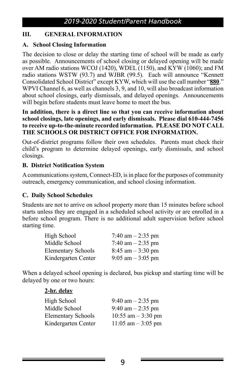#### **III. GENERAL INFORMATION**

#### **A. School Closing Information**

The decision to close or delay the starting time of school will be made as early as possible. Announcements of school closing or delayed opening will be made over AM radio stations WCOJ (1420), WDEL (1150), and KYW (1060); and FM radio stations WSTW (93.7) and WJBR (99.5). Each will announce "Kennett Consolidated School District" except KYW, which will use the call number "**880**." WPVI Channel 6, as well as channels 3, 9, and 10, will also broadcast information about school closings, early dismissals, and delayed openings. Announcements will begin before students must leave home to meet the bus.

#### **In addition, there is a direct line so that you can receive information about school closings, late openings, and early dismissals. Please dial 610-444-7456 to receive up-to-the-minute recorded information. PLEASE DO NOT CALL THE SCHOOLS OR DISTRICT OFFICE FOR INFORMATION.**

Out-of-district programs follow their own schedules. Parents must check their child's program to determine delayed openings, early dismissals, and school closings.

#### **B. District Notification System**

A communications system, Connect-ED, is in place for the purposes of community outreach, emergency communication, and school closing information.

#### **C. Daily School Schedules**

Students are not to arrive on school property more than 15 minutes before school starts unless they are engaged in a scheduled school activity or are enrolled in a before school program. There is no additional adult supervision before school starting time.

| High School         | 7:40 am $-$ 2:35 pm  |
|---------------------|----------------------|
| Middle School       | 7:40 am $-$ 2:35 pm  |
| Elementary Schools  | $8:45$ am $-3:30$ pm |
| Kindergarten Center | 9:05 am $-$ 3:05 pm  |

When a delayed school opening is declared, bus pickup and starting time will be delayed by one or two hours:

#### **2-hr. delay**

| High School               | 9:40 am $-2:35$ pm    |
|---------------------------|-----------------------|
| Middle School             | 9:40 am $-2:35$ pm    |
| <b>Elementary Schools</b> | 10:55 am $-3:30$ pm   |
| Kindergarten Center       | $11:05$ am $-3:05$ pm |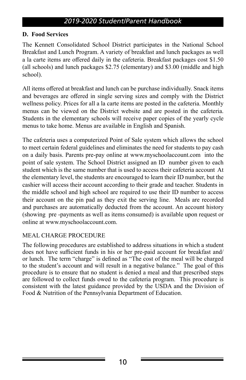#### **D. Food Services**

The Kennett Consolidated School District participates in the National School Breakfast and Lunch Program. A variety of breakfast and lunch packages as well a la carte items are offered daily in the cafeteria. Breakfast packages cost \$1.50 (all schools) and lunch packages \$2.75 (elementary) and \$3.00 (middle and high school).

All items offered at breakfast and lunch can be purchase individually. Snack items and beverages are offered in single serving sizes and comply with the District wellness policy. Prices for all a la carte items are posted in the cafeteria. Monthly menus can be viewed on the District website and are posted in the cafeteria. Students in the elementary schools will receive paper copies of the yearly cycle menus to take home. Menus are available in English and Spanish.

The cafeteria uses a computerized Point of Sale system which allows the school to meet certain federal guidelines and eliminates the need for students to pay cash on a daily basis. Parents pre-pay online at www.myschoolaccount.com into the point of sale system. The School District assigned an ID number given to each student which is the same number that is used to access their cafeteria account At the elementary level, the students are encouraged to learn their ID number, but the cashier will access their account according to their grade and teacher. Students in the middle school and high school are required to use their ID number to access their account on the pin pad as they exit the serving line. Meals are recorded and purchases are automatically deducted from the account. An account history (showing pre -payments as well as items consumed) is available upon request or online at www.myschoolaccount.com.

#### MEAL CHARGE PROCEDURE

The following procedures are established to address situations in which a student does not have sufficient funds in his or her pre-paid account for breakfast and/ or lunch. The term "charge" is defined as "The cost of the meal will be charged to the student's account and will result in a negative balance." The goal of this procedure is to ensure that no student is denied a meal and that prescribed steps are followed to collect funds owed to the cafeteria program. This procedure is consistent with the latest guidance provided by the USDA and the Division of Food & Nutrition of the Pennsylvania Department of Education.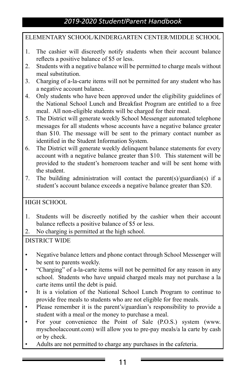ELEMENTARY SCHOOL/KINDERGARTEN CENTER/MIDDLE SCHOOL

- 1. The cashier will discreetly notify students when their account balance reflects a positive balance of \$5 or less.
- 2. Students with a negative balance will be permitted to charge meals without meal substitution.
- 3. Charging of a-la-carte items will not be permitted for any student who has a negative account balance.
- 4. Only students who have been approved under the eligibility guidelines of the National School Lunch and Breakfast Program are entitled to a free meal. All non-eligible students will be charged for their meal.
- 5. The District will generate weekly School Messenger automated telephone messages for all students whose accounts have a negative balance greater than \$10. The message will be sent to the primary contact number as identified in the Student Information System.
- 6. The District will generate weekly delinquent balance statements for every account with a negative balance greater than \$10. This statement will be provided to the student's homeroom teacher and will be sent home with the student.
- 7. The building administration will contact the parent(s)/guardian(s) if a student's account balance exceeds a negative balance greater than \$20.

#### HIGH SCHOOL

- 1. Students will be discreetly notified by the cashier when their account balance reflects a positive balance of \$5 or less.
- 2. No charging is permitted at the high school.

#### DISTRICT WIDE

- Negative balance letters and phone contact through School Messenger will be sent to parents weekly.
- "Charging" of a-la-carte items will not be permitted for any reason in any school. Students who have unpaid charged meals may not purchase a la carte items until the debt is paid.
- It is a violation of the National School Lunch Program to continue to provide free meals to students who are not eligible for free meals.
- Please remember it is the parent's/guardian's responsibility to provide a student with a meal or the money to purchase a meal.
- For your convenience the Point of Sale (P.O.S.) system (www. myschoolaccount.com) will allow you to pre-pay meals/a la carte by cash or by check.
- Adults are not permitted to charge any purchases in the cafeteria.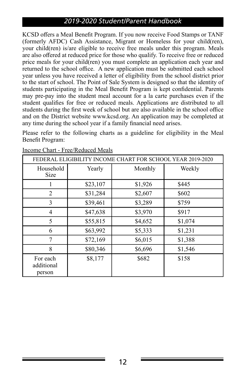KCSD offers a Meal Benefit Program. If you now receive Food Stamps or TANF (formerly AFDC) Cash Assistance, Migrant or Homeless for your child(ren), your child(ren) is/are eligible to receive free meals under this program. Meals are also offered at reduced price for those who qualify. To receive free or reduced price meals for your child(ren) you must complete an application each year and returned to the school office. A new application must be submitted each school year unless you have received a letter of eligibility from the school district prior to the start of school. The Point of Sale System is designed so that the identity of students participating in the Meal Benefit Program is kept confidential. Parents may pre-pay into the student meal account for a la carte purchases even if the student qualifies for free or reduced meals. Applications are distributed to all students during the first week of school but are also available in the school office and on the District website www.kcsd.org. An application may be completed at any time during the school year if a family financial need arises.

Please refer to the following charts as a guideline for eligibility in the Meal Benefit Program:

| FEDERAL ELIGIBILITY INCOME CHART FOR SCHOOL YEAR 2019-2020 |          |         |         |
|------------------------------------------------------------|----------|---------|---------|
| Household<br>Size                                          | Yearly   | Monthly | Weekly  |
| 1                                                          | \$23,107 | \$1,926 | \$445   |
| 2                                                          | \$31,284 | \$2,607 | \$602   |
| 3                                                          | \$39,461 | \$3,289 | \$759   |
| 4                                                          | \$47,638 | \$3,970 | \$917   |
| 5                                                          | \$55,815 | \$4,652 | \$1,074 |
| 6                                                          | \$63,992 | \$5,333 | \$1,231 |
| 7                                                          | \$72,169 | \$6,015 | \$1,388 |
| 8                                                          | \$80,346 | \$6,696 | \$1,546 |
| For each<br>additional<br>person                           | \$8,177  | \$682   | \$158   |

Income Chart - Free/Reduced Meals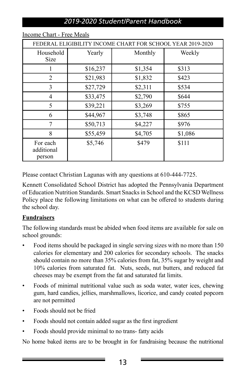| FEDERAL ELIGIBILITY INCOME CHART FOR SCHOOL YEAR 2019-2020 |          |         |         |
|------------------------------------------------------------|----------|---------|---------|
| Household<br>Size                                          | Yearly   | Monthly | Weekly  |
| 1                                                          | \$16,237 | \$1,354 | \$313   |
| $\overline{2}$                                             | \$21,983 | \$1,832 | \$423   |
| 3                                                          | \$27,729 | \$2,311 | \$534   |
| 4                                                          | \$33,475 | \$2,790 | \$644   |
| 5                                                          | \$39,221 | \$3,269 | \$755   |
| 6                                                          | \$44,967 | \$3,748 | \$865   |
| 7                                                          | \$50,713 | \$4,227 | \$976   |
| 8                                                          | \$55,459 | \$4,705 | \$1,086 |
| For each<br>additional<br>person                           | \$5,746  | \$479   | \$111   |

#### Income Chart - Free Meals

Please contact Christian Lagunas with any questions at 610-444-7725.

Kennett Consolidated School District has adopted the Pennsylvania Department of Education Nutrition Standards. Smart Snacks in School and the KCSD Wellness Policy place the following limitations on what can be offered to students during the school day.

#### **Fundraisers**

The following standards must be abided when food items are available for sale on school grounds:

- Food items should be packaged in single serving sizes with no more than 150 calories for elementary and 200 calories for secondary schools. The snacks should contain no more than 35% calories from fat, 35% sugar by weight and 10% calories from saturated fat. Nuts, seeds, nut butters, and reduced fat cheeses may be exempt from the fat and saturated fat limits.
- Foods of minimal nutritional value such as soda water, water ices, chewing gum, hard candies, jellies, marshmallows, licorice, and candy coated popcorn are not permitted
- Foods should not be fried
- Foods should not contain added sugar as the first ingredient
- Foods should provide minimal to no trans- fatty acids

No home baked items are to be brought in for fundraising because the nutritional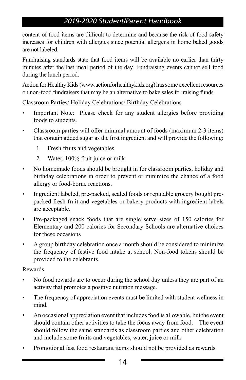content of food items are difficult to determine and because the risk of food safety increases for children with allergies since potential allergens in home baked goods are not labeled.

Fundraising standards state that food items will be available no earlier than thirty minutes after the last meal period of the day. Fundraising events cannot sell food during the lunch period.

Action for Healthy Kids (www.actionforhealthykids.org) has some excellent resources on non-food fundraisers that may be an alternative to bake sales for raising funds.

Classroom Parties/ Holiday Celebrations/ Birthday Celebrations

- Important Note: Please check for any student allergies before providing foods to students.
- Classroom parties will offer minimal amount of foods (maximum 2-3 items) that contain added sugar as the first ingredient and will provide the following:
	- 1. Fresh fruits and vegetables
	- 2. Water, 100% fruit juice or milk
- No homemade foods should be brought in for classroom parties, holiday and birthday celebrations in order to prevent or minimize the chance of a food allergy or food-borne reactions.
- Ingredient labeled, pre-packed, sealed foods or reputable grocery bought prepacked fresh fruit and vegetables or bakery products with ingredient labels are acceptable.
- Pre-packaged snack foods that are single serve sizes of 150 calories for Elementary and 200 calories for Secondary Schools are alternative choices for these occasions
- A group birthday celebration once a month should be considered to minimize the frequency of festive food intake at school. Non-food tokens should be provided to the celebrants.

#### Rewards

- No food rewards are to occur during the school day unless they are part of an activity that promotes a positive nutrition message.
- The frequency of appreciation events must be limited with student wellness in mind.
- An occasional appreciation event that includes food is allowable, but the event should contain other activities to take the focus away from food. The event should follow the same standards as classroom parties and other celebration and include some fruits and vegetables, water, juice or milk
- Promotional fast food restaurant items should not be provided as rewards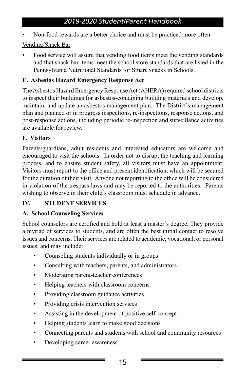• Non-food rewards are a better choice and must be practiced more often

## Vending/Snack Bar

• Food service will assure that vending food items meet the vending standards and that snack bar items meet the school store standards that are listed in the Pennsylvania Nutritional Standards for Smart Snacks in Schools.

## **E. Asbestos Hazard Emergency Response Act**

The Asbestos Hazard Emergency Response Act (AHERA) required school districts to inspect their buildings for asbestos-containing building materials and develop, maintain, and update an asbestos management plan. The District's management plan and planned or in progress inspections, re-inspections, response actions, and post-response actions, including periodic re-inspection and surveillance activities are available for review.

## **F. Visitors**

Parents/guardians, adult residents and interested educators are welcome and encouraged to visit the schools. In order not to disrupt the teaching and learning process, and to ensure student safety, all visitors must have an appointment. Visitors must report to the office and present identification, which will be secured for the duration of their visit. Anyone not reporting to the office will be considered in violation of the trespass laws and may be reported to the authorities. Parents wishing to observe in their child's classroom must schedule in advance.

## **IV. STUDENT SERVICES**

## **A. School Counseling Services**

School counselors are certified and hold at least a master's degree. They provide a myriad of services to students, and are often the best initial contact to resolve issues and concerns. Their services are related to academic, vocational, or personal issues, and may include:

- Counseling students individually or in groups
- Consulting with teachers, parents, and administrators
- Moderating parent-teacher conferences
- Helping teachers with classroom concerns
- Providing classroom guidance activities
- Providing crisis intervention services
- Assisting in the development of positive self-concept
- Helping students learn to make good decisions
- Connecting parents and students with school and community resources
- Developing career awareness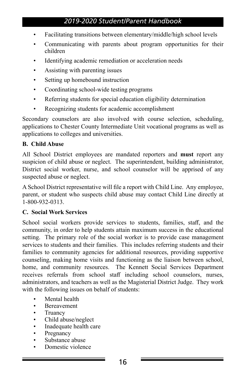- Facilitating transitions between elementary/middle/high school levels
- Communicating with parents about program opportunities for their children
- Identifying academic remediation or acceleration needs
- Assisting with parenting issues
- Setting up homebound instruction
- Coordinating school-wide testing programs
- Referring students for special education eligibility determination
- Recognizing students for academic accomplishment

Secondary counselors are also involved with course selection, scheduling, applications to Chester County Intermediate Unit vocational programs as well as applications to colleges and universities.

#### **B. Child Abuse**

All School District employees are mandated reporters and **must** report any suspicion of child abuse or neglect. The superintendent, building administrator, District social worker, nurse, and school counselor will be apprised of any suspected abuse or neglect.

A School District representative will file a report with Child Line. Any employee, parent, or student who suspects child abuse may contact Child Line directly at 1-800-932-0313.

## **C. Social Work Services**

School social workers provide services to students, families, staff, and the community, in order to help students attain maximum success in the educational setting. The primary role of the social worker is to provide case management services to students and their families. This includes referring students and their families to community agencies for additional resources, providing supportive counseling, making home visits and functioning as the liaison between school, home, and community resources. The Kennett Social Services Department receives referrals from school staff including school counselors, nurses, administrators, and teachers as well as the Magisterial District Judge. They work with the following issues on behalf of students:

- Mental health
- Bereavement
- Truancy
- Child abuse/neglect
- Inadequate health care
- Pregnancy
- Substance abuse
- Domestic violence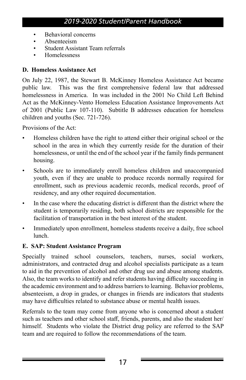- Behavioral concerns
- Absenteeism
- Student Assistant Team referrals
- Homelessness

## **D. Homeless Assistance Act**

On July 22, 1987, the Stewart B. McKinney Homeless Assistance Act became public law. This was the first comprehensive federal law that addressed homelessness in America. In was included in the 2001 No Child Left Behind Act as the McKinney-Vento Homeless Education Assistance Improvements Act of 2001 (Public Law 107-110). Subtitle B addresses education for homeless children and youths (Sec. 721-726).

Provisions of the Act:

- Homeless children have the right to attend either their original school or the school in the area in which they currently reside for the duration of their homelessness, or until the end of the school year if the family finds permanent housing.
- Schools are to immediately enroll homeless children and unaccompanied youth, even if they are unable to produce records normally required for enrollment, such as previous academic records, medical records, proof of residency, and any other required documentation.
- In the case where the educating district is different than the district where the student is temporarily residing, both school districts are responsible for the facilitation of transportation in the best interest of the student.
- Immediately upon enrollment, homeless students receive a daily, free school lunch.

## **E. SAP: Student Assistance Program**

Specially trained school counselors, teachers, nurses, social workers, administrators, and contracted drug and alcohol specialists participate as a team to aid in the prevention of alcohol and other drug use and abuse among students. Also, the team works to identify and refer students having difficulty succeeding in the academic environment and to address barriers to learning. Behavior problems, absenteeism, a drop in grades, or changes in friends are indicators that students may have difficulties related to substance abuse or mental health issues.

Referrals to the team may come from anyone who is concerned about a student such as teachers and other school staff, friends, parents, and also the student her/ himself. Students who violate the District drug policy are referred to the SAP team and are required to follow the recommendations of the team.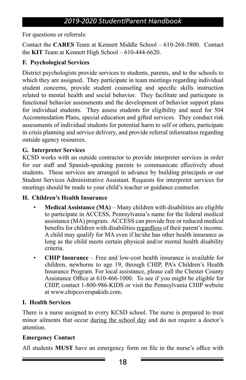For questions or referrals:

Contact the **CARES** Team at Kennett Middle School – 610-268-5800. Contact the **KIT** Team at Kennett High School – 610-444-6620.

### **F. Psychological Services**

District psychologists provide services to students, parents, and to the schools to which they are assigned. They participate in team meetings regarding individual student concerns, provide student counseling and specific skills instruction related to mental health and social behavior. They facilitate and participate in functional behavior assessments and the development of behavior support plans for individual students. They assess students for eligibility and need for 504 Accommodation Plans, special education and gifted services. They conduct risk assessments of individual students for potential harm to self or others, participate in crisis planning and service delivery, and provide referral information regarding outside agency resources.

#### **G. Interpreter Services**

KCSD works with an outside contractor to provide interpreter services in order for our staff and Spanish-speaking parents to communicate effectively about students. These services are arranged in advance by building principals or our Student Services Administrative Assistant. Requests for interpreter services for meetings should be made to your child's teacher or guidance counselor.

#### **H. Children's Health Insurance**

- **Medical Assistance (MA)** Many children with disabilities are eligible to participate in ACCESS, Pennsylvania's name for the federal medical assistance (MA) program. ACCESS can provide free or reduced medical benefits for children with disabilities regardless of their parent's income. A child may qualify for MA even if he/she has other health insurance as long as the child meets certain physical and/or mental health disability criteria.
- **CHIP Insurance** Free and low-cost health insurance is available for children, newborns to age 19, through CHIP, PA's Children's Health Insurance Program. For local assistance, please call the Chester County Assistance Office at 610-466-1000. To see if you might be eligible for CHIP, contact 1-800-986-KIDS or visit the Pennsylvania CHIP website at www.chipcoverspakids.com.

#### **I. Health Services**

There is a nurse assigned to every KCSD school. The nurse is prepared to treat minor ailments that occur during the school day and do not require a doctor's attention.

#### **Emergency Contact**

All students **MUST** have an emergency form on file in the nurse's office with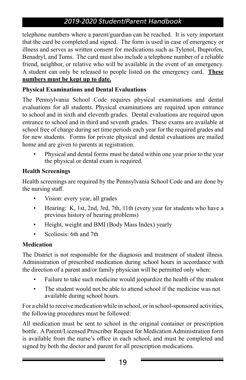telephone numbers where a parent/guardian can be reached. It is very important that the card be completed and signed. The form is used in case of emergency or illness and serves as written consent for medications such as Tylenol, Ibuprofen, Benadryl, and Tums. The card must also include a telephone number of a reliable friend, neighbor, or relative who will be available in the event of an emergency. A student can only be released to people listed on the emergency card. **These numbers must be kept up to date.**

## **Physical Examinations and Dental Evaluations**

The Pennsylvania School Code requires physical examinations and dental evaluations for all students. Physical examinations are required upon entrance to school and in sixth and eleventh grades. Dental evaluations are required upon entrance to school and in third and seventh grades. These exams are available at school free of charge during set time periods each year for the required grades and for new students. Forms for private physical and dental evaluations are mailed home and are given to parents at registration.

• Physical and dental forms must be dated within one year prior to the year the physical or dental exam is required.

#### **Health Screenings**

Health screenings are required by the Pennsylvania School Code and are done by the nursing staff.

- Vision: every year, all grades
- Hearing: K, 1st, 2nd, 3rd, 7th, 11th (every year for students who have a previous history of hearing problems)
- Height, weight and BMI (Body Mass Index) yearly
- Scoliosis: 6th and 7th

## **Medication**

The District is not responsible for the diagnosis and treatment of student illness. Administration of prescribed medication during school hours in accordance with the direction of a parent and/or family physician will be permitted only when:

- Failure to take such medicine would jeopardize the health of the student
- The student would not be able to attend school if the medicine was not available during school hours.

For a child to receive medication while in school, or in school-sponsored activities, the following procedures must be followed:

All medication must be sent to school in the original container or prescription bottle. A Parent/Licensed Prescriber Request for Medication Administration form is available from the nurse's office in each school, and must be completed and signed by both the doctor and parent for all prescription medications.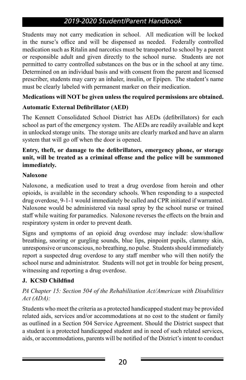Students may not carry medication in school. All medication will be locked in the nurse's office and will be dispensed as needed. Federally controlled medication such as Ritalin and narcotics must be transported to school by a parent or responsible adult and given directly to the school nurse. Students are not permitted to carry controlled substances on the bus or in the school at any time. Determined on an individual basis and with consent from the parent and licensed prescriber, students may carry an inhaler, insulin, or Epipen. The student's name must be clearly labeled with permanent marker on their medication.

## **Medications will NOT be given unless the required permissions are obtained.**

## **Automatic External Defibrillator (AED)**

The Kennett Consolidated School District has AEDs (defibrillators) for each school as part of the emergency system. The AEDs are readily available and kept in unlocked storage units. The storage units are clearly marked and have an alarm system that will go off when the door is opened.

#### **Entry, theft, or damage to the defibrillators, emergency phone, or storage unit, will be treated as a criminal offense and the police will be summoned immediately.**

#### **Naloxone**

Naloxone, a medication used to treat a drug overdose from heroin and other opioids, is available in the secondary schools. When responding to a suspected drug overdose, 9-1-1 would immediately be called and CPR initiated if warranted. Naloxone would be administered via nasal spray by the school nurse or trained staff while waiting for paramedics. Naloxone reverses the effects on the brain and respiratory system in order to prevent death.

Signs and symptoms of an opioid drug overdose may include: slow/shallow breathing, snoring or gurgling sounds, blue lips, pinpoint pupils, clammy skin, unresponsive or unconscious, no breathing, no pulse. Students should immediately report a suspected drug overdose to any staff member who will then notify the school nurse and administrator. Students will not get in trouble for being present, witnessing and reporting a drug overdose.

## **J. KCSD Childfind**

#### *PA Chapter 15: Section 504 of the Rehabilitation Act/American with Disabilities Act (ADA):*

Students who meet the criteria as a protected handicapped student may be provided related aids, services and/or accommodations at no cost to the student or family as outlined in a Section 504 Service Agreement. Should the District suspect that a student is a protected handicapped student and in need of such related services, aids, or accommodations, parents will be notified of the District's intent to conduct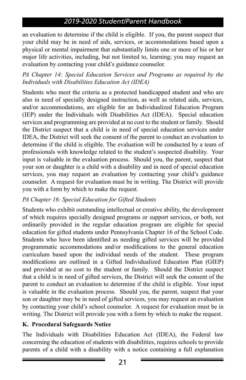an evaluation to determine if the child is eligible. If you, the parent suspect that your child may be in need of aids, services, or accommodations based upon a physical or mental impairment that substantially limits one or more of his or her major life activities, including, but not limited to, learning; you may request an evaluation by contacting your child's guidance counselor.

### *PA Chapter 14: Special Education Services and Programs as required by the Individuals with Disabilities Education Act (IDEA)*

Students who meet the criteria as a protected handicapped student and who are also in need of specially designed instruction, as well as related aids, services, and/or accommodations, are eligible for an Individualized Education Program (IEP) under the Individuals with Disabilities Act (IDEA). Special education services and programming are provided at no cost to the student or family. Should the District suspect that a child is in need of special education services under IDEA, the District will seek the consent of the parent to conduct an evaluation to determine if the child is eligible. The evaluation will be conducted by a team of professionals with knowledge related to the student's suspected disability. Your input is valuable in the evaluation process. Should you, the parent, suspect that your son or daughter is a child with a disability and in need of special education services, you may request an evaluation by contacting your child's guidance counselor. A request for evaluation must be in writing. The District will provide you with a form by which to make the request.

## *PA Chapter 16: Special Education for Gifted Students*

Students who exhibit outstanding intellectual or creative ability, the development of which requires specially designed programs or support services, or both, not ordinarily provided in the regular education program are eligible for special education for gifted students under Pennsylvania Chapter 16 of the School Code. Students who have been identified as needing gifted services will be provided programmatic accommodations and/or modifications to the general education curriculum based upon the individual needs of the student. These program modifications are outlined in a Gifted Individualized Education Plan (GIEP) and provided at no cost to the student or family. Should the District suspect that a child is in need of gifted services, the District will seek the consent of the parent to conduct an evaluation to determine if the child is eligible. Your input is valuable in the evaluation process. Should you, the parent, suspect that your son or daughter may be in need of gifted services, you may request an evaluation by contacting your child's school counselor. A request for evaluation must be in writing. The District will provide you with a form by which to make the request.

## **K. Procedural Safeguards Notice**

The Individuals with Disabilities Education Act (IDEA), the Federal law concerning the education of students with disabilities, requires schools to provide parents of a child with a disability with a notice containing a full explanation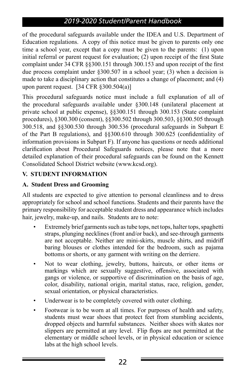of the procedural safeguards available under the IDEA and U.S. Department of Education regulations. A copy of this notice must be given to parents only one time a school year, except that a copy must be given to the parents: (1) upon initial referral or parent request for evaluation; (2) upon receipt of the first State complaint under 34 CFR §§300.151 through 300.153 and upon receipt of the first due process complaint under §300.507 in a school year; (3) when a decision is made to take a disciplinary action that constitutes a change of placement; and (4) upon parent request. [34 CFR §300.504(a)]

This procedural safeguards notice must include a full explanation of all of the procedural safeguards available under §300.148 (unilateral placement at private school at public expense), §§300.151 through 300.153 (State complaint procedures), §300.300 (consent), §§300.502 through 300.503, §§300.505 through 300.518, and §§300.530 through 300.536 (procedural safeguards in Subpart E of the Part B regulations), and §§300.610 through 300.625 (confidentiality of information provisions in Subpart F). If anyone has questions or needs additional clarification about Procedural Safeguards notices, please note that a more detailed explanation of their procedural safeguards can be found on the Kennett Consolidated School District website (www.kcsd.org).

## **V. STUDENT INFORMATION**

## **A. Student Dress and Grooming**

All students are expected to give attention to personal cleanliness and to dress appropriately for school and school functions. Students and their parents have the primary responsibility for acceptable student dress and appearance which includes hair, jewelry, make-up, and nails. Students are to note:

- Extremely brief garments such as tube tops, net tops, halter tops, spaghetti straps, plunging necklines (front and/or back), and see-through garments are not acceptable. Neither are mini-skirts, muscle shirts, and midriff baring blouses or clothes intended for the bedroom, such as pajama bottoms or shorts, or any garment with writing on the derriere.
- Not to wear clothing, jewelry, buttons, haircuts, or other items or markings which are sexually suggestive, offensive, associated with gangs or violence, or supportive of discrimination on the basis of age, color, disability, national origin, marital status, race, religion, gender, sexual orientation, or physical characteristics.
- Underwear is to be completely covered with outer clothing.
- Footwear is to be worn at all times. For purposes of health and safety, students must wear shoes that protect feet from stumbling accidents, dropped objects and harmful substances. Neither shoes with skates nor slippers are permitted at any level. Flip flops are not permitted at the elementary or middle school levels, or in physical education or science labs at the high school levels.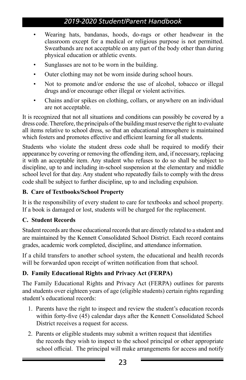- Wearing hats, bandanas, hoods, do-rags or other headwear in the classroom except for a medical or religious purpose is not permitted. Sweatbands are not acceptable on any part of the body other than during physical education or athletic events.
- Sunglasses are not to be worn in the building.
- Outer clothing may not be worn inside during school hours.
- Not to promote and/or endorse the use of alcohol, tobacco or illegal drugs and/or encourage other illegal or violent activities.
- Chains and/or spikes on clothing, collars, or anywhere on an individual are not acceptable.

It is recognized that not all situations and conditions can possibly be covered by a dress code. Therefore, the principals of the building must reserve the right to evaluate all items relative to school dress, so that an educational atmosphere is maintained which fosters and promotes effective and efficient learning for all students.

Students who violate the student dress code shall be required to modify their appearance by covering or removing the offending item, and, if necessary, replacing it with an acceptable item. Any student who refuses to do so shall be subject to discipline, up to and including in-school suspension at the elementary and middle school level for that day. Any student who repeatedly fails to comply with the dress code shall be subject to further discipline, up to and including expulsion.

## **B. Care of Textbooks/School Property**

It is the responsibility of every student to care for textbooks and school property. If a book is damaged or lost, students will be charged for the replacement.

## **C. Student Records**

Student records are those educational records that are directly related to a student and are maintained by the Kennett Consolidated School District. Each record contains grades, academic work completed, discipline, and attendance information.

If a child transfers to another school system, the educational and health records will be forwarded upon receipt of written notification from that school.

## **D. Family Educational Rights and Privacy Act (FERPA)**

The Family Educational Rights and Privacy Act (FERPA) outlines for parents and students over eighteen years of age (eligible students) certain rights regarding student's educational records:

- 1. Parents have the right to inspect and review the student's education records within forty-five (45) calendar days after the Kennett Consolidated School District receives a request for access.
- 2. Parents or eligible students may submit a written request that identifies the records they wish to inspect to the school principal or other appropriate school official. The principal will make arrangements for access and notify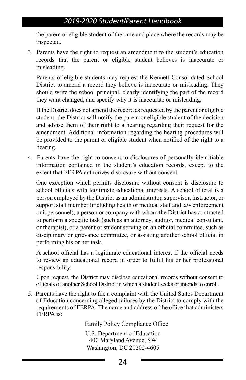the parent or eligible student of the time and place where the records may be inspected.

3. Parents have the right to request an amendment to the student's education records that the parent or eligible student believes is inaccurate or misleading.

Parents of eligible students may request the Kennett Consolidated School District to amend a record they believe is inaccurate or misleading. They should write the school principal, clearly identifying the part of the record they want changed, and specify why it is inaccurate or misleading.

If the District does not amend the record as requested by the parent or eligible student, the District will notify the parent or eligible student of the decision and advise them of their right to a hearing regarding their request for the amendment. Additional information regarding the hearing procedures will be provided to the parent or eligible student when notified of the right to a hearing.

4. Parents have the right to consent to disclosures of personally identifiable information contained in the student's education records, except to the extent that FERPA authorizes disclosure without consent.

One exception which permits disclosure without consent is disclosure to school officials with legitimate educational interests. A school official is a person employed by the District as an administrator, supervisor, instructor, or support staff member (including health or medical staff and law enforcement unit personnel), a person or company with whom the District has contracted to perform a specific task (such as an attorney, auditor, medical consultant, or therapist), or a parent or student serving on an official committee, such as disciplinary or grievance committee, or assisting another school official in performing his or her task.

A school official has a legitimate educational interest if the official needs to review an educational record in order to fulfill his or her professional responsibility.

Upon request, the District may disclose educational records without consent to officials of another School District in which a studentseeks or intendsto enroll. 

5. Parents have the right to file a complaint with the United States Department of Education concerning alleged failures by the District to comply with the requirements of FERPA. The name and address of the office that administers FERPA is:

Family Policy Compliance Office

U.S. Department of Education 400 Maryland Avenue, SW Washington, DC 20202-4605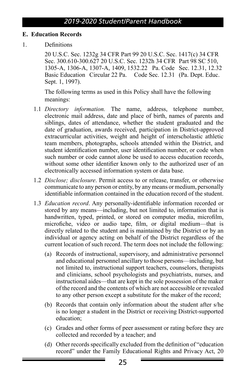#### **E. Education Records**

1. Definitions

20 U.S.C. Sec. 1232g 34 CFR Part 99 20 U.S.C. Sec. 1417(c) 34 CFR Sec. 300.610-300.627 20 U.S.C. Sec. 1232h 34 CFR Part 98 SC 510, 1305-A, 1306-A, 1307-A, 1409, 1532.22 Pa. Code Sec. 12.31, 12.32 Basic Education Circular 22 Pa. Code Sec. 12.31 (Pa. Dept. Educ. Sept. 1, 1997).

The following terms as used in this Policy shall have the following meanings:

- 1.1 *Directory information.* The name, address, telephone number, electronic mail address, date and place of birth, names of parents and siblings, dates of attendance, whether the student graduated and the date of graduation, awards received, participation in District-approved extracurricular activities, weight and height of interscholastic athletic team members, photographs, schools attended within the District, and student identification number, user identification number, or code when such number or code cannot alone be used to access education records, without some other identifier known only to the authorized user of an electronically accessed information system or data base.
- 1.2 *Disclose; disclosure*. Permit access to or release, transfer, or otherwise communicate to any person or entity, by any means or medium, personally identifiable information contained in the education record of the student.
- 1.3 *Education record*. Any personally-identifiable information recorded or stored by any means—including, but not limited to, information that is handwritten, typed, printed, or stored on computer media, microfilm, microfiche, video or audio tape, film, or digital medium—that is directly related to the student and is maintained by the District or by an individual or agency acting on behalf of the District regardless of the current location of such record. The term does not include the following:
	- (a) Records of instructional, supervisory, and administrative personnel and educational personnel ancillary to those persons—including, but not limited to, instructional support teachers, counselors, therapists and clinicians, school psychologists and psychiatrists, nurses, and instructional aides—that are kept in the sole possession of the maker of the record and the contents of which are not accessible or revealed to any other person except a substitute for the maker of the record;
	- (b) Records that contain only information about the student after s/he is no longer a student in the District or receiving District-supported education;
	- (c) Grades and other forms of peer assessment or rating before they are collected and recorded by a teacher; and
	- (d) Other records specifically excluded from the definition of "education" record" under the Family Educational Rights and Privacy Act, 20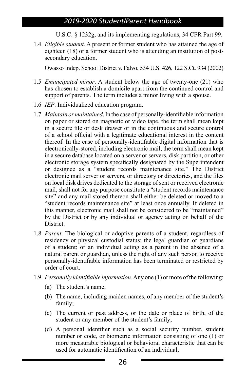U.S.C. § 1232g, and its implementing regulations, 34 CFR Part 99.

1.4 *Eligible student*. A present or former student who has attained the age of eighteen (18) or a former student who is attending an institution of postsecondary education.

Owasso Indep. School District v. Falvo, 534 U.S. 426, 122 S.Ct. 934 (2002)

- 1.5 *Emancipated minor*. A student below the age of twenty-one (21) who has chosen to establish a domicile apart from the continued control and support of parents. The term includes a minor living with a spouse.
- 1.6 *IEP*. Individualized education program.
- 1.7 *Maintain or maintained*.In the case of personally-identifiable information on paper or stored on magnetic or video tape, the term shall mean kept in a secure file or desk drawer or in the continuous and secure control of a school official with a legitimate educational interest in the content thereof. In the case of personally-identifiable digital information that is electronically-stored, including electronic mail, the term shall mean kept in a secure database located on a server or servers, disk partition, or other electronic storage system specifically designated by the Superintendent or designee as a "student records maintenance site." The District electronic mail server or servers, or directory or directories, and the files on local disk drives dedicated to the storage of sent or received electronic mail, shall not for any purpose constitute a "student records maintenance site" and any mail stored thereon shall either be deleted or moved to a "student records maintenance site" at least once annually. If deleted in this manner, electronic mail shall not be considered to be "maintained" by the District or by any individual or agency acting on behalf of the District.
- 1.8 *Parent*. The biological or adoptive parents of a student, regardless of residency or physical custodial status; the legal guardian or guardians of a student; or an individual acting as a parent in the absence of a natural parent or guardian, unless the right of any such person to receive personally-identifiable information has been terminated or restricted by order of court.
- 1.9 *Personally identifiable information.* Any one (1) or more of the following:
	- (a) The student's name;
	- (b) The name, including maiden names, of any member of the student's family;
	- (c) The current or past address, or the date or place of birth, of the student or any member of the student's family;
	- (d) A personal identifier such as a social security number, student number or code, or biometric information consisting of one (1) or more measurable biological or behavioral characteristic that can be used for automatic identification of an individual;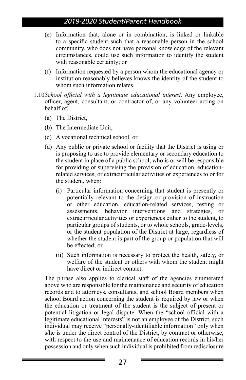- (e) Information that, alone or in combination, is linked or linkable to a specific student such that a reasonable person in the school community, who does not have personal knowledge of the relevant circumstances, could use such information to identify the student with reasonable certainty; or
- (f) Information requested by a person whom the educational agency or institution reasonably believes knows the identity of the student to whom such information relates.
- 1.10*School official with a legitimate educational interest.* Any employee, officer, agent, consultant, or contractor of, or any volunteer acting on behalf of,
	- (a) The District,
	- (b) The Intermediate Unit,
	- (c) A vocational technical school, or
	- (d) Any public or private school or facility that the District is using or is proposing to use to provide elementary or secondary education to the student in place of a public school, who is or will be responsible for providing or supervising the provision of education, educationrelated services, or extracurricular activities or experiences to or for the student, when:
		- (i) Particular information concerning that student is presently or potentially relevant to the design or provision of instruction or other education, education-related services, testing or assessments, behavior interventions and strategies, extracurricular activities or experiences either to the student, to particular groups of students, or to whole schools, grade-levels, or the student population of the District at large, regardless of whether the student is part of the group or population that will be effected; or
		- (ii) Such information is necessary to protect the health, safety, or welfare of the student or others with whom the student might have direct or indirect contact.

The phrase also applies to clerical staff of the agencies enumerated above who are responsible for the maintenance and security of education records and to attorneys, consultants, and school Board members when school Board action concerning the student is required by law or when the education or treatment of the student is the subject of present or potential litigation or legal dispute. When the "school official with a legitimate educational interests" is not an employee of the District, such individual may receive "personally-identifiable information" only when s/he is under the direct control of the District, by contract or otherwise, with respect to the use and maintenance of education records in his/her possession and only when such individual is prohibited from redisclosure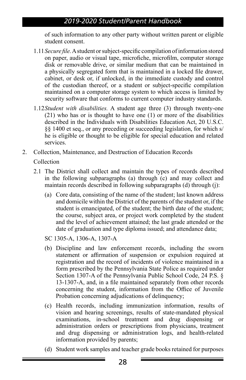of such information to any other party without written parent or eligible student consent.

- 1.11*Secure file.*Astudent orsubject-specific compilation ofinformation stored on paper, audio or visual tape, microfiche, microfilm, computer storage disk or removable drive, or similar medium that can be maintained in a physically segregated form that is maintained in a locked file drawer, cabinet, or desk or, if unlocked, in the immediate custody and control of the custodian thereof, or a student or subject-specific compilation maintained on a computer storage system to which access is limited by security software that conforms to current computer industry standards.
- 1.12*Student with disabilities.* A student age three (3) through twenty-one (21) who has or is thought to have one (1) or more of the disabilities described in the Individuals with Disabilities Education Act, 20 U.S.C. §§ 1400 et seq., or any preceding or succeeding legislation, for which s/ he is eligible or thought to be eligible for special education and related services.
- 2. Collection, Maintenance, and Destruction of Education Records

Collection

- 2.1 The District shall collect and maintain the types of records described in the following subparagraphs (a) through (c) and may collect and maintain records described in following subparagraphs (d) through (j):
	- (a) Core data, consisting of the name of the student; last known address and domicile within the District of the parents of the student or, if the student is emancipated, of the student; the birth date of the student; the course, subject area, or project work completed by the student and the level of achievement attained; the last grade attended or the date of graduation and type diploma issued; and attendance data;
	- SC 1305-A, 1306-A, 1307-A
	- (b) Discipline and law enforcement records, including the sworn statement or affirmation of suspension or expulsion required at registration and the record of incidents of violence maintained in a form prescribed by the Pennsylvania State Police as required under Section 1307-A of the Pennsylvania Public School Code, 24 P.S. § 13-1307-A, and, in a file maintained separately from other records concerning the student, information from the Office of Juvenile Probation concerning adjudications of delinquency;
	- (c) Health records, including immunization information, results of vision and hearing screenings, results of state-mandated physical examinations, in-school treatment and drug dispensing or administration orders or prescriptions from physicians, treatment and drug dispensing or administration logs, and health-related information provided by parents;
	- (d) Student work samples and teacher grade books retained for purposes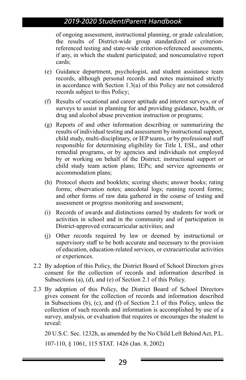of ongoing assessment, instructional planning, or grade calculation; the results of District-wide group standardized or criterionreferenced testing and state-wide criterion-referenced assessments, if any, in which the student participated; and noncumulative report cards;

- (e) Guidance department, psychologist, and student assistance team records, although personal records and notes maintained strictly in accordance with Section 1.3(a) of this Policy are not considered records subject to this Policy;
- (f) Results of vocational and career aptitude and interest surveys, or of surveys to assist in planning for and providing guidance, health, or drug and alcohol abuse prevention instruction or programs;
- (g) Reports of and other information describing or summarizing the results of individual testing and assessment by instructional support, child study, multi-disciplinary, or IEP teams, or by professional staff responsible for determining eligibility for Title I, ESL, and other remedial programs, or by agencies and individuals not employed by or working on behalf of the District; instructional support or child study team action plans; IEPs; and service agreements or accommodation plans;
- (h) Protocol sheets and booklets; scoring sheets; answer books; rating forms; observation notes; anecdotal logs; running record forms; and other forms of raw data gathered in the course of testing and assessment or progress monitoring and assessment;
- (i) Records of awards and distinctions earned by students for work or activities in school and in the community and of participation in District-approved extracurricular activities; and
- (j) Other records required by law or deemed by instructional or supervisory staff to be both accurate and necessary to the provision of education, education-related services, or extracurricular activities or experiences.
- 2.2 By adoption of this Policy, the District Board of School Directors gives consent for the collection of records and information described in Subsections (a), (d), and (e) of Section 2.1 of this Policy.
- 2.3 By adoption of this Policy, the District Board of School Directors gives consent for the collection of records and information described in Subsections (b), (c), and (f) of Section 2.1 of this Policy, unless the collection of such records and information is accomplished by use of a survey, analysis, or evaluation that requires or encourages the student to reveal:

20 U.S.C. Sec. 1232h, as amended by the No Child Left Behind Act, P.L.

107-110, § 1061, 115 STAT. 1426 (Jan. 8, 2002)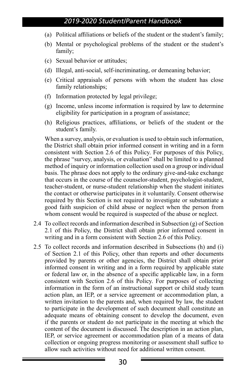- (a) Political affiliations or beliefs of the student or the student's family;
- (b) Mental or psychological problems of the student or the student's family;
- (c) Sexual behavior or attitudes;
- (d) Illegal, anti-social, self-incriminating, or demeaning behavior;
- (e) Critical appraisals of persons with whom the student has close family relationships;
- (f) Information protected by legal privilege;
- (g) Income, unless income information is required by law to determine eligibility for participation in a program of assistance;
- (h) Religious practices, affiliations, or beliefs of the student or the student's family.

When a survey, analysis, or evaluation is used to obtain such information, the District shall obtain prior informed consent in writing and in a form consistent with Section 2.6 of this Policy. For purposes of this Policy, the phrase "survey, analysis, or evaluation" shall be limited to a planned method of inquiry or information collection used on a group or individual basis. The phrase does not apply to the ordinary give-and-take exchange that occurs in the course of the counselor-student, psychologist-student, teacher-student, or nurse-student relationship when the student initiates the contact or otherwise participates in it voluntarily. Consent otherwise required by this Section is not required to investigate or substantiate a good faith suspicion of child abuse or neglect when the person from whom consent would be required is suspected of the abuse or neglect.

- 2.4 To collect records and information described in Subsection (g) of Section 2.1 of this Policy, the District shall obtain prior informed consent in writing and in a form consistent with Section 2.6 of this Policy.
- 2.5 To collect records and information described in Subsections (h) and (i) of Section 2.1 of this Policy, other than reports and other documents provided by parents or other agencies, the District shall obtain prior informed consent in writing and in a form required by applicable state or federal law or, in the absence of a specific applicable law, in a form consistent with Section 2.6 of this Policy. For purposes of collecting information in the form of an instructional support or child study team action plan, an IEP, or a service agreement or accommodation plan, a written invitation to the parents and, when required by law, the student to participate in the development of such document shall constitute an adequate means of obtaining consent to develop the document, even if the parents or student do not participate in the meeting at which the content of the document is discussed. The description in an action plan, IEP, or service agreement or accommodation plan of a means of data collection or ongoing progress monitoring or assessment shall suffice to allow such activities without need for additional written consent.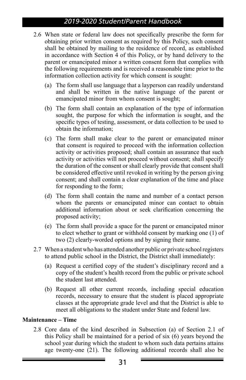- 2.6 When state or federal law does not specifically prescribe the form for obtaining prior written consent as required by this Policy, such consent shall be obtained by mailing to the residence of record, as established in accordance with Section 4 of this Policy, or by hand delivery to the parent or emancipated minor a written consent form that complies with the following requirements and is received a reasonable time prior to the information collection activity for which consent is sought:
	- (a) The form shall use language that a layperson can readily understand and shall be written in the native language of the parent or emancipated minor from whom consent is sought;
	- (b) The form shall contain an explanation of the type of information sought, the purpose for which the information is sought, and the specific types of testing, assessment, or data collection to be used to obtain the information;
	- (c) The form shall make clear to the parent or emancipated minor that consent is required to proceed with the information collection activity or activities proposed; shall contain an assurance that such activity or activities will not proceed without consent; shall specify the duration of the consent or shall clearly provide that consent shall be considered effective until revoked in writing by the person giving consent; and shall contain a clear explanation of the time and place for responding to the form;
	- (d) The form shall contain the name and number of a contact person whom the parents or emancipated minor can contact to obtain additional information about or seek clarification concerning the proposed activity;
	- (e) The form shall provide a space for the parent or emancipated minor to elect whether to grant or withhold consent by marking one (1) of two (2) clearly-worded options and by signing their name.
- 2.7 When a student who has attended another public or private school registers to attend public school in the District, the District shall immediately:
	- (a) Request a certified copy of the student's disciplinary record and a copy of the student's health record from the public or private school the student last attended.
	- (b) Request all other current records, including special education records, necessary to ensure that the student is placed appropriate classes at the appropriate grade level and that the District is able to meet all obligations to the student under State and federal law.

#### **Maintenance – Time**

2.8 Core data of the kind described in Subsection (a) of Section 2.1 of this Policy shall be maintained for a period of six (6) years beyond the school year during which the student to whom such data pertains attains age twenty-one (21). The following additional records shall also be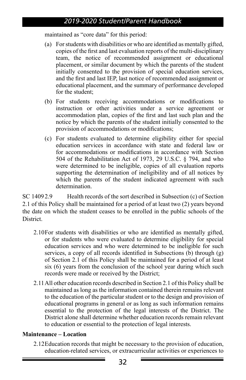maintained as "core data" for this period:

- (a) For students with disabilities or who are identified as mentally gifted, copies of the first and last evaluation reports of the multi-disciplinary team, the notice of recommended assignment or educational placement, or similar document by which the parents of the student initially consented to the provision of special education services, and the first and last IEP, last notice of recommended assignment or educational placement, and the summary of performance developed for the student;
- (b) For students receiving accommodations or modifications to instruction or other activities under a service agreement or accommodation plan, copies of the first and last such plan and the notice by which the parents of the student initially consented to the provision of accommodations or modifications;
- (c) For students evaluated to determine eligibility either for special education services in accordance with state and federal law or for accommodations or modifications in accordance with Section 504 of the Rehabilitation Act of 1973, 29 U.S.C. § 794, and who were determined to be ineligible, copies of all evaluation reports supporting the determination of ineligibility and of all notices by which the parents of the student indicated agreement with such determination.

SC 1409 2.9 Health records of the sort described in Subsection (c) of Section 2.1 of this Policy shall be maintained for a period of at least two (2) years beyond the date on which the student ceases to be enrolled in the public schools of the **District** 

- 2.10 For students with disabilities or who are identified as mentally gifted, or for students who were evaluated to determine eligibility for special education services and who were determined to be ineligible for such services, a copy of all records identified in Subsections (b) through (g) of Section 2.1 of this Policy shall be maintained for a period of at least six (6) years from the conclusion of the school year during which such records were made or received by the District;
- 2.11All other education records described in Section 2.1 of this Policy shall be maintained as long as the information contained therein remains relevant to the education of the particular student or to the design and provision of educational programs in general or as long as such information remains essential to the protection of the legal interests of the District. The District alone shall determine whether education records remain relevant to education or essential to the protection of legal interests.

#### **Maintenance – Location**

2.12Education records that might be necessary to the provision of education, education-related services, or extracurricular activities or experiences to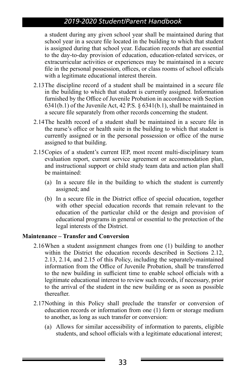a student during any given school year shall be maintained during that school year in a secure file located in the building to which that student is assigned during that school year. Education records that are essential to the day-to-day provision of education, education-related services, or extracurricular activities or experiences may be maintained in a secure file in the personal possession, offices, or class rooms of school officials with a legitimate educational interest therein.

- 2.13 The discipline record of a student shall be maintained in a secure file in the building to which that student is currently assigned. Information furnished by the Office of Juvenile Probation in accordance with Section 6341(b.1) of the Juvenile Act, 42 P.S. § 6341(b.1), shall be maintained in a secure file separately from other records concerning the student.
- 2.14 The health record of a student shall be maintained in a secure file in the nurse's office or health suite in the building to which that student is currently assigned or in the personal possession or office of the nurse assigned to that building.
- 2.15Copies of a student's current IEP, most recent multi-disciplinary team evaluation report, current service agreement or accommodation plan, and instructional support or child study team data and action plan shall be maintained:
	- (a) In a secure file in the building to which the student is currently assigned; and
	- (b) In a secure file in the District office of special education, together with other special education records that remain relevant to the education of the particular child or the design and provision of educational programs in general or essential to the protection of the legal interests of the District.

#### **Maintenance – Transfer and Conversion**

- 2.16When a student assignment changes from one (1) building to another within the District the education records described in Sections 2.12, 2.13, 2.14, and 2.15 of this Policy, including the separately-maintained information from the Office of Juvenile Probation, shall be transferred to the new building in sufficient time to enable school officials with a legitimate educational interest to review such records, if necessary, prior to the arrival of the student in the new building or as soon as possible thereafter.
- 2.17Nothing in this Policy shall preclude the transfer or conversion of education records or information from one (1) form or storage medium to another, as long as such transfer or conversion:
	- (a) Allows for similar accessibility of information to parents, eligible students, and school officials with a legitimate educational interest;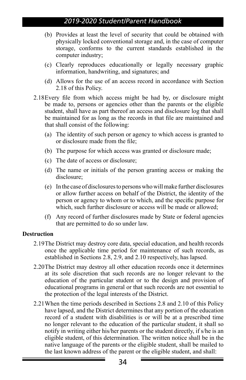- (b) Provides at least the level of security that could be obtained with physically locked conventional storage and, in the case of computer storage, conforms to the current standards established in the computer industry;
- (c) Clearly reproduces educationally or legally necessary graphic information, handwriting, and signatures; and
- (d) Allows for the use of an access record in accordance with Section 2.18 of this Policy.
- 2.18 Every file from which access might be had by, or disclosure might be made to, persons or agencies other than the parents or the eligible student, shall have as part thereof an access and disclosure log that shall be maintained for as long as the records in that file are maintained and that shall consist of the following:
	- (a) The identity of such person or agency to which access is granted to or disclosure made from the file;
	- (b) The purpose for which access was granted or disclosure made;
	- (c) The date of access or disclosure;
	- (d) The name or initials of the person granting access or making the disclosure;
	- (e) In the case of disclosures to persons who will make further disclosures or allow further access on behalf of the District, the identity of the person or agency to whom or to which, and the specific purpose for which, such further disclosure or access will be made or allowed;
	- (f) Any record of further disclosures made by State or federal agencies that are permitted to do so under law.

#### **Destruction**

- 2.19The District may destroy core data, special education, and health records once the applicable time period for maintenance of such records, as established in Sections 2.8, 2.9, and 2.10 respectively, has lapsed.
- 2.20The District may destroy all other education records once it determines at its sole discretion that such records are no longer relevant to the education of the particular student or to the design and provision of educational programs in general or that such records are not essential to the protection of the legal interests of the District.
- 2.21When the time periods described in Sections 2.8 and 2.10 of this Policy have lapsed, and the District determines that any portion of the education record of a student with disabilities is or will be at a prescribed time no longer relevant to the education of the particular student, it shall so notify in writing either his/her parents or the student directly, if s/he is an eligible student, of this determination. The written notice shall be in the native language of the parents or the eligible student, shall be mailed to the last known address of the parent or the eligible student, and shall: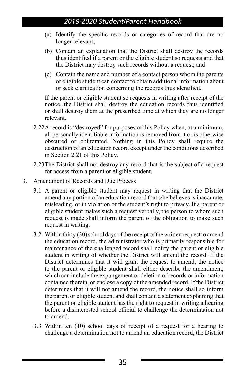- (a) Identify the specific records or categories of record that are no longer relevant;
- (b) Contain an explanation that the District shall destroy the records thus identified if a parent or the eligible student so requests and that the District may destroy such records without a request; and
- (c) Contain the name and number of a contact person whom the parents or eligible student can contact to obtain additional information about or seek clarification concerning the records thus identified.

If the parent or eligible student so requests in writing after receipt of the notice, the District shall destroy the education records thus identified or shall destroy them at the prescribed time at which they are no longer relevant.

- 2.22A record is "destroyed" for purposes of this Policy when, at a minimum, all personally identifiable information is removed from it or is otherwise obscured or obliterated. Nothing in this Policy shall require the destruction of an education record except under the conditions described in Section 2.21 of this Policy.
- 2.23The District shall not destroy any record that is the subject of a request for access from a parent or eligible student.
- 3. Amendment of Records and Due Process
	- 3.1 A parent or eligible student may request in writing that the District amend any portion of an education record that s/he believes is inaccurate, misleading, or in violation of the student's right to privacy. If a parent or eligible student makes such a request verbally, the person to whom such request is made shall inform the parent of the obligation to make such request in writing.
	- 3.2 Within thirty (30) school days of the receipt of the written request to amend the education record, the administrator who is primarily responsible for maintenance of the challenged record shall notify the parent or eligible student in writing of whether the District will amend the record. If the District determines that it will grant the request to amend, the notice to the parent or eligible student shall either describe the amendment, which can include the expungement or deletion of records or information contained therein, or enclose a copy of the amended record. If the District determines that it will not amend the record, the notice shall so inform the parent or eligible student and shall contain a statement explaining that the parent or eligible student has the right to request in writing a hearing before a disinterested school official to challenge the determination not to amend.
	- 3.3 Within ten (10) school days of receipt of a request for a hearing to challenge a determination not to amend an education record, the District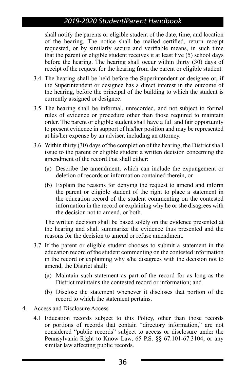shall notify the parents or eligible student of the date, time, and location of the hearing. The notice shall be mailed certified, return receipt requested, or by similarly secure and verifiable means, in such time that the parent or eligible student receives it at least five (5) school days before the hearing. The hearing shall occur within thirty (30) days of receipt of the request for the hearing from the parent or eligible student.

- 3.4 The hearing shall be held before the Superintendent or designee or, if the Superintendent or designee has a direct interest in the outcome of the hearing, before the principal of the building to which the student is currently assigned or designee.
- 3.5 The hearing shall be informal, unrecorded, and not subject to formal rules of evidence or procedure other than those required to maintain order. The parent or eligible student shall have a full and fair opportunity to present evidence in support of his/her position and may be represented at his/her expense by an adviser, including an attorney.
- 3.6 Within thirty (30) days of the completion of the hearing, the District shall issue to the parent or eligible student a written decision concerning the amendment of the record that shall either:
	- (a) Describe the amendment, which can include the expungement or deletion of records or information contained therein, or
	- (b) Explain the reasons for denying the request to amend and inform the parent or eligible student of the right to place a statement in the education record of the student commenting on the contested information in the record or explaining why he or she disagrees with the decision not to amend, or both.

The written decision shall be based solely on the evidence presented at the hearing and shall summarize the evidence thus presented and the reasons for the decision to amend or refuse amendment.

- 3.7 If the parent or eligible student chooses to submit a statement in the education record of the student commenting on the contested information in the record or explaining why s/he disagrees with the decision not to amend, the District shall:
	- (a) Maintain such statement as part of the record for as long as the District maintains the contested record or information; and
	- (b) Disclose the statement whenever it discloses that portion of the record to which the statement pertains.
- 4. Access and Disclosure Access
	- 4.1 Education records subject to this Policy, other than those records or portions of records that contain "directory information," are not considered "public records" subject to access or disclosure under the Pennsylvania Right to Know Law, 65 P.S. §§ 67.101-67.3104, or any similar law affecting public records.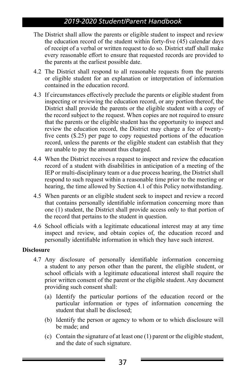- The District shall allow the parents or eligible student to inspect and review the education record of the student within forty-five  $(45)$  calendar days of receipt of a verbal or written request to do so. District staff shall make every reasonable effort to ensure that requested records are provided to the parents at the earliest possible date.
- 4.2 The District shall respond to all reasonable requests from the parents or eligible student for an explanation or interpretation of information contained in the education record.
- 4.3 If circumstances effectively preclude the parents or eligible student from inspecting or reviewing the education record, or any portion thereof, the District shall provide the parents or the eligible student with a copy of the record subject to the request. When copies are not required to ensure that the parents or the eligible student has the opportunity to inspect and review the education record, the District may charge a fee of twentyfive cents (\$.25) per page to copy requested portions of the education record, unless the parents or the eligible student can establish that they are unable to pay the amount thus charged.
- 4.4 When the District receives a request to inspect and review the education record of a student with disabilities in anticipation of a meeting of the IEP or multi-disciplinary team or a due process hearing, the District shall respond to such request within a reasonable time prior to the meeting or hearing, the time allowed by Section 4.1 of this Policy notwithstanding.
- 4.5 When parents or an eligible student seek to inspect and review a record that contains personally identifiable information concerning more than one (1) student, the District shall provide access only to that portion of the record that pertains to the student in question.
- 4.6 School officials with a legitimate educational interest may at any time inspect and review, and obtain copies of, the education record and personally identifiable information in which they have such interest.

#### **Disclosure**

- 4.7 Any disclosure of personally identifiable information concerning a student to any person other than the parent, the eligible student, or school officials with a legitimate educational interest shall require the prior written consent of the parent or the eligible student. Any document providing such consent shall:
	- (a) Identify the particular portions of the education record or the particular information or types of information concerning the student that shall be disclosed;
	- (b) Identify the person or agency to whom or to which disclosure will be made; and
	- (c) Contain the signature of at least one (1) parent or the eligible student, and the date of such signature.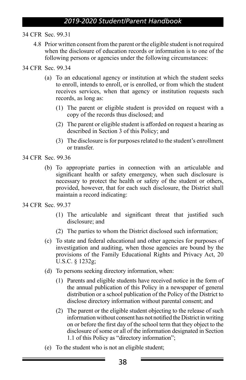- 34 CFR Sec. 99.31
	- 4.8 Prior written consent from the parent or the eligible student is not required when the disclosure of education records or information is to one of the following persons or agencies under the following circumstances:
- 34 CFR Sec. 99.34
	- (a) To an educational agency or institution at which the student seeks to enroll, intends to enroll, or is enrolled, or from which the student receives services, when that agency or institution requests such records, as long as:
		- (1) The parent or eligible student is provided on request with a copy of the records thus disclosed; and
		- (2) The parent or eligible student is afforded on request a hearing as described in Section 3 of this Policy; and
		- (3) The disclosure is for purposes related to the student's enrollment or transfer.
- 34 CFR Sec. 99.36
	- (b) To appropriate parties in connection with an articulable and significant health or safety emergency, when such disclosure is necessary to protect the health or safety of the student or others, provided, however, that for each such disclosure, the District shall maintain a record indicating:
- 34 CFR Sec. 99.37
	- (1) The articulable and significant threat that justified such disclosure; and
	- (2) The parties to whom the District disclosed such information;
	- (c) To state and federal educational and other agencies for purposes of investigation and auditing, when those agencies are bound by the provisions of the Family Educational Rights and Privacy Act, 20 U.S.C. § 1232g;
	- (d) To persons seeking directory information, when:
		- (1) Parents and eligible students have received notice in the form of the annual publication of this Policy in a newspaper of general distribution or a school publication of the Policy of the District to disclose directory information without parental consent; and
		- (2) The parent or the eligible student objecting to the release of such information without consent has not notified the District in writing on or before the first day of the school term that they object to the disclosure of some or all of the information designated in Section 1.1 of this Policy as "directory information";
	- (e) To the student who is not an eligible student;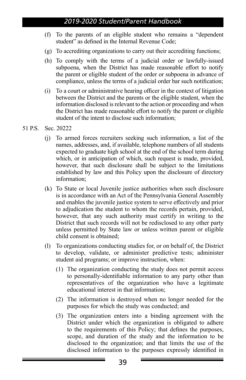- (f) To the parents of an eligible student who remains a "dependent student" as defined in the Internal Revenue Code;
- (g) To accrediting organizations to carry out their accrediting functions;
- (h) To comply with the terms of a judicial order or lawfully-issued subpoena, when the District has made reasonable effort to notify the parent or eligible student of the order or subpoena in advance of compliance, unless the terms of a judicial order bar such notification;
- (i) To a court or administrative hearing officer in the context of litigation between the District and the parents or the eligible student, when the information disclosed is relevant to the action or proceeding and when the District has made reasonable effort to notify the parent or eligible student of the intent to disclose such information;
- 51 P.S. Sec. 20222
	- (j) To armed forces recruiters seeking such information, a list of the names, addresses, and, if available, telephone numbers of all students expected to graduate high school at the end of the school term during which, or in anticipation of which, such request is made, provided, however, that such disclosure shall be subject to the limitations established by law and this Policy upon the disclosure of directory information;
	- (k) To State or local Juvenile justice authorities when such disclosure is in accordance with an Act of the Pennsylvania General Assembly and enables the juvenile justice system to serve effectively and prior to adjudication the student to whom the records pertain, provided, however, that any such authority must certify in writing to the District that such records will not be redisclosed to any other party unless permitted by State law or unless written parent or eligible child consent is obtained;
	- (l) To organizations conducting studies for, or on behalf of, the District to develop, validate, or administer predictive tests; administer student aid programs; or improve instruction, when:
		- (1) The organization conducting the study does not permit access to personally-identifiable information to any party other than representatives of the organization who have a legitimate educational interest in that information;
		- (2) The information is destroyed when no longer needed for the purposes for which the study was conducted; and
		- (3) The organization enters into a binding agreement with the District under which the organization is obligated to adhere to the requirements of this Policy; that defines the purposes, scope, and duration of the study and the information to be disclosed to the organization; and that limits the use of the disclosed information to the purposes expressly identified in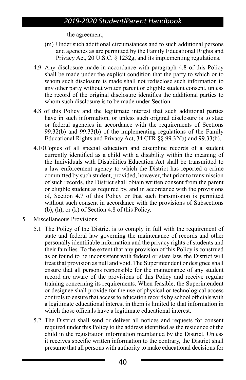the agreement;

- (m) Under such additional circumstances and to such additional persons and agencies as are permitted by the Family Educational Rights and Privacy Act, 20 U.S.C. § 1232g, and its implementing regulations.
- 4.9 Any disclosure made in accordance with paragraph 4.8 of this Policy shall be made under the explicit condition that the party to which or to whom such disclosure is made shall not redisclose such information to any other party without written parent or eligible student consent, unless the record of the original disclosure identifies the additional parties to whom such disclosure is to be made under Section
- 4.8 of this Policy and the legitimate interest that such additional parties have in such information, or unless such original disclosure is to state or federal agencies in accordance with the requirements of Sections 99.32(b) and 99.33(b) of the implementing regulations of the Family Educational Rights and Privacy Act, 34 CFR §§ 99.32(b) and 99.33(b).
- 4.10Copies of all special education and discipline records of a student currently identified as a child with a disability within the meaning of the Individuals with Disabilities Education Act shall be transmitted to a law enforcement agency to which the District has reported a crime committed by such student, provided, however, that prior to transmission of such records, the District shall obtain written consent from the parent or eligible student as required by, and in accordance with the provisions of, Section 4.7 of this Policy or that such transmission is permitted without such consent in accordance with the provisions of Subsections (b), (h), or (k) of Section 4.8 of this Policy.
- 5. Miscellaneous Provisions
	- 5.1 The Policy of the District is to comply in full with the requirement of state and federal law governing the maintenance of records and other personally identifiable information and the privacy rights of students and their families. To the extent that any provision of this Policy is construed as or found to be inconsistent with federal or state law, the District will treat that provision as null and void. The Superintendent or designee shall ensure that all persons responsible for the maintenance of any student record are aware of the provisions of this Policy and receive regular training concerning its requirements. When feasible, the Superintendent or designee shall provide for the use of physical or technological access controls to ensure that access to education records by school officials with a legitimate educational interest in them is limited to that information in which those officials have a legitimate educational interest.
	- 5.2 The District shall send or deliver all notices and requests for consent required under this Policy to the address identified as the residence of the child in the registration information maintained by the District. Unless it receives specific written information to the contrary, the District shall presume that all persons with authority to make educational decisions for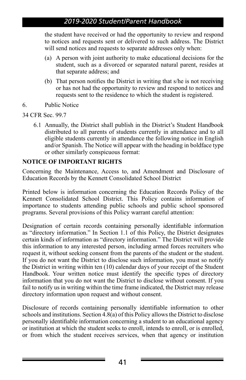the student have received or had the opportunity to review and respond to notices and requests sent or delivered to such address. The District will send notices and requests to separate addresses only when:

- (a) A person with joint authority to make educational decisions for the student, such as a divorced or separated natural parent, resides at that separate address; and
- (b) That person notifies the District in writing that s/he is not receiving or has not had the opportunity to review and respond to notices and requests sent to the residence to which the student is registered.
- 6. Public Notice
- 34 CFR Sec. 99.7
	- 6.1 Annually, the District shall publish in the District's Student Handbook distributed to all parents of students currently in attendance and to all eligible students currently in attendance the following notice in English and/or Spanish. The Notice will appear with the heading in boldface type or other similarly conspicuous format:

#### **NOTICE OF IMPORTANT RIGHTS**

Concerning the Maintenance, Access to, and Amendment and Disclosure of Education Records by the Kennett Consolidated School District

Printed below is information concerning the Education Records Policy of the Kennett Consolidated School District. This Policy contains information of importance to students attending public schools and public school sponsored programs. Several provisions of this Policy warrant careful attention:

Designation of certain records containing personally identifiable information as "directory information." In Section 1.1 of this Policy, the District designates certain kinds of information as "directory information." The District will provide this information to any interested person, including armed forces recruiters who request it, without seeking consent from the parents of the student or the student. If you do not want the District to disclose such information, you must so notify the District in writing within ten (10) calendar days of your receipt of the Student Handbook. Your written notice must identify the specific types of directory information that you do not want the District to disclose without consent. If you fail to notify us in writing within the time frame indicated, the District may release directory information upon request and without consent.

Disclosure of records containing personally identifiable information to other schools and institutions. Section 4.8(a) of this Policy allows the District to disclose personally identifiable information concerning a student to an educational agency or institution at which the student seeks to enroll, intends to enroll, or is enrolled, or from which the student receives services, when that agency or institution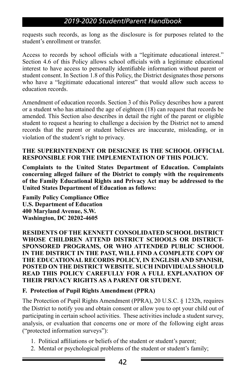requests such records, as long as the disclosure is for purposes related to the student's enrollment or transfer.

Access to records by school officials with a "legitimate educational interest." Section 4.6 of this Policy allows school officials with a legitimate educational interest to have access to personally identifiable information without parent or student consent. In Section 1.8 of this Policy, the District designates those persons who have a "legitimate educational interest" that would allow such access to education records.

Amendment of education records. Section 3 of this Policy describes how a parent or a student who has attained the age of eighteen (18) can request that records be amended. This Section also describes in detail the right of the parent or eligible student to request a hearing to challenge a decision by the District not to amend records that the parent or student believes are inaccurate, misleading, or in violation of the student's right to privacy.

#### **THE SUPERINTENDENT OR DESIGNEE IS THE SCHOOL OFFICIAL RESPONSIBLE FOR THE IMPLEMENTATION OF THIS POLICY.**

**Complaints to the United States Department of Education. Complaints concerning alleged failure of the District to comply with the requirements of the Family Educational Rights and Privacy Act may be addressed to the United States Department of Education as follows:**

**Family Policy Compliance Office U.S. Department of Education 400 Maryland Avenue, S.W. Washington, DC 20202-4605**

**RESIDENTS OF THE KENNETT CONSOLIDATED SCHOOL DISTRICT WHOSE CHILDREN ATTEND DISTRICT SCHOOLS OR DISTRICT-SPONSORED PROGRAMS, OR WHO ATTENDED PUBLIC SCHOOL IN THE DISTRICT IN THE PAST, WILL FIND A COMPLETE COPY OF THE EDUCATIONAL RECORDS POLICY, IN ENGLISH AND SPANISH, POSTED ON THE DISTRICT WEBSITE. SUCH INDIVIDUALS SHOULD READ THIS POLICY CAREFULLY FOR A FULL EXPLANATION OF THEIR PRIVACY RIGHTS AS A PARENT OR STUDENT.**

#### **F. Protection of Pupil Rights Amendment (PPRA)**

The Protection of Pupil Rights Amendment (PPRA), 20 U.S.C. § 1232h, requires the District to notify you and obtain consent or allow you to opt your child out of participating in certain school activities. These activities include a student survey, analysis, or evaluation that concerns one or more of the following eight areas ("protected information surveys"):

- 1. Political affiliations or beliefs of the student or student's parent;
- 2. Mental or psychological problems of the student or student's family;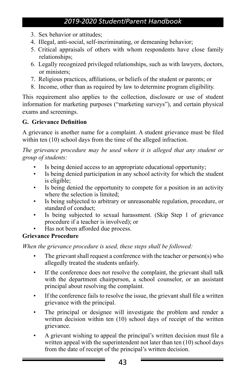- 3. Sex behavior or attitudes;
- 4. Illegal, anti-social, self-incriminating, or demeaning behavior;
- 5. Critical appraisals of others with whom respondents have close family relationships;
- 6. Legally recognized privileged relationships, such as with lawyers, doctors, or ministers;
- 7. Religious practices, affiliations, or beliefs of the student or parents; or
- 8. Income, other than as required by law to determine program eligibility.

This requirement also applies to the collection, disclosure or use of student information for marketing purposes ("marketing surveys"), and certain physical exams and screenings.

## **G. Grievance Definition**

A grievance is another name for a complaint. A student grievance must be filed within ten  $(10)$  school days from the time of the alleged infraction.

*The grievance procedure may be used where it is alleged that any student or group of students:*

- Is being denied access to an appropriate educational opportunity;
- Is being denied participation in any school activity for which the student is eligible;
- Is being denied the opportunity to compete for a position in an activity where the selection is limited;
- Is being subjected to arbitrary or unreasonable regulation, procedure, or standard of conduct;
- Is being subjected to sexual harassment. (Skip Step 1 of grievance procedure if a teacher is involved); or
- Has not been afforded due process.

## **Grievance Procedure**

*When the grievance procedure is used, these steps shall be followed:*

- The grievant shall request a conference with the teacher or person(s) who allegedly treated the students unfairly.
- If the conference does not resolve the complaint, the grievant shall talk with the department chairperson, a school counselor, or an assistant principal about resolving the complaint.
- If the conference fails to resolve the issue, the grievant shall file a written grievance with the principal.
- The principal or designee will investigate the problem and render a written decision within ten (10) school days of receipt of the written grievance.
- A grievant wishing to appeal the principal's written decision must file a written appeal with the superintendent not later than ten (10) school days from the date of receipt of the principal's written decision.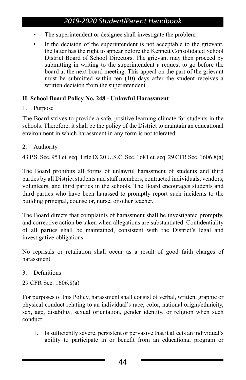- The superintendent or designee shall investigate the problem
- If the decision of the superintendent is not acceptable to the grievant, the latter has the right to appear before the Kennett Consolidated School District Board of School Directors. The grievant may then proceed by submitting in writing to the superintendent a request to go before the board at the next board meeting. This appeal on the part of the grievant must be submitted within ten (10) days after the student receives a written decision from the superintendent.

### **H. School Board Policy No. 248 - Unlawful Harassment**

1. Purpose

The Board strives to provide a safe, positive learning climate for students in the schools. Therefore, it shall be the policy of the District to maintain an educational environment in which harassment in any form is not tolerated.

2. Authority

43 P.S. Sec. 951 et. seq. Title IX 20 U.S.C. Sec. 1681 et. seq. 29 CFR Sec. 1606.8(a)

The Board prohibits all forms of unlawful harassment of students and third parties by all District students and staff members, contracted individuals, vendors, volunteers, and third parties in the schools. The Board encourages students and third parties who have been harassed to promptly report such incidents to the building principal, counselor, nurse, or other teacher.

The Board directs that complaints of harassment shall be investigated promptly, and corrective action be taken when allegations are substantiated. Confidentiality of all parties shall be maintained, consistent with the District's legal and investigative obligations.

No reprisals or retaliation shall occur as a result of good faith charges of harassment.

3. Definitions

29 CFR Sec. 1606.8(a)

For purposes of this Policy, harassment shall consist of verbal, written, graphic or physical conduct relating to an individual's race, color, national origin/ethnicity, sex, age, disability, sexual orientation, gender identity, or religion when such conduct:

1. Is sufficiently severe, persistent or pervasive that it affects an individual's ability to participate in or benefit from an educational program or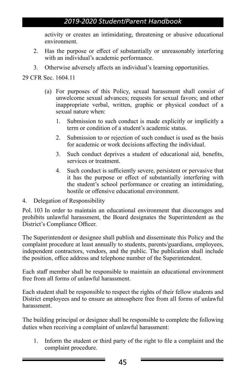activity or creates an intimidating, threatening or abusive educational environment.

- 2. Has the purpose or effect of substantially or unreasonably interfering with an individual's academic performance.
- 3. Otherwise adversely affects an individual's learning opportunities.

29 CFR Sec. 1604.11

- (a) For purposes of this Policy, sexual harassment shall consist of unwelcome sexual advances; requests for sexual favors; and other inappropriate verbal, written, graphic or physical conduct of a sexual nature when:
	- 1. Submission to such conduct is made explicitly or implicitly a term or condition of a student's academic status.
	- 2. Submission to or rejection of such conduct is used as the basis for academic or work decisions affecting the individual.
	- 3. Such conduct deprives a student of educational aid, benefits, services or treatment.
	- 4. Such conduct is sufficiently severe, persistent or pervasive that it has the purpose or effect of substantially interfering with the student's school performance or creating an intimidating, hostile or offensive educational environment.
- 4. Delegation of Responsibility

Pol. 103 In order to maintain an educational environment that discourages and prohibits unlawful harassment, the Board designates the Superintendent as the District's Compliance Officer.

The Superintendent or designee shall publish and disseminate this Policy and the complaint procedure at least annually to students, parents/guardians, employees, independent contractors, vendors, and the public. The publication shall include the position, office address and telephone number of the Superintendent.

Each staff member shall be responsible to maintain an educational environment free from all forms of unlawful harassment.

Each student shall be responsible to respect the rights of their fellow students and District employees and to ensure an atmosphere free from all forms of unlawful harassment.

The building principal or designee shall be responsible to complete the following duties when receiving a complaint of unlawful harassment:

1. Inform the student or third party of the right to file a complaint and the complaint procedure.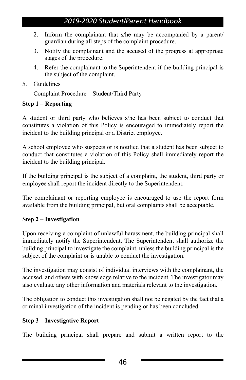- 2. Inform the complainant that s/he may be accompanied by a parent/ guardian during all steps of the complaint procedure.
- 3. Notify the complainant and the accused of the progress at appropriate stages of the procedure.
- 4. Refer the complainant to the Superintendent if the building principal is the subject of the complaint.
- 5. Guidelines

Complaint Procedure – Student/Third Party

### **Step 1 – Reporting**

A student or third party who believes s/he has been subject to conduct that constitutes a violation of this Policy is encouraged to immediately report the incident to the building principal or a District employee.

A school employee who suspects or is notified that a student has been subject to conduct that constitutes a violation of this Policy shall immediately report the incident to the building principal.

If the building principal is the subject of a complaint, the student, third party or employee shall report the incident directly to the Superintendent.

The complainant or reporting employee is encouraged to use the report form available from the building principal, but oral complaints shall be acceptable.

### **Step 2 – Investigation**

Upon receiving a complaint of unlawful harassment, the building principal shall immediately notify the Superintendent. The Superintendent shall authorize the building principal to investigate the complaint, unless the building principal is the subject of the complaint or is unable to conduct the investigation.

The investigation may consist of individual interviews with the complainant, the accused, and others with knowledge relative to the incident. The investigator may also evaluate any other information and materials relevant to the investigation.

The obligation to conduct this investigation shall not be negated by the fact that a criminal investigation of the incident is pending or has been concluded.

#### **Step 3 – Investigative Report**

The building principal shall prepare and submit a written report to the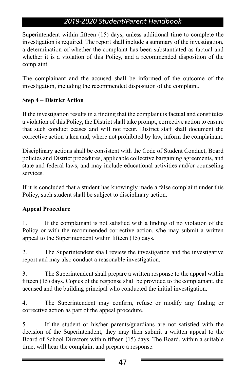Superintendent within fifteen (15) days, unless additional time to complete the investigation is required. The report shall include a summary of the investigation, a determination of whether the complaint has been substantiated as factual and whether it is a violation of this Policy, and a recommended disposition of the complaint.

The complainant and the accused shall be informed of the outcome of the investigation, including the recommended disposition of the complaint.

### **Step 4 – District Action**

If the investigation results in a finding that the complaint is factual and constitutes a violation of this Policy, the District shall take prompt, corrective action to ensure that such conduct ceases and will not recur. District staff shall document the corrective action taken and, where not prohibited by law, inform the complainant.

Disciplinary actions shall be consistent with the Code of Student Conduct, Board policies and District procedures, applicable collective bargaining agreements, and state and federal laws, and may include educational activities and/or counseling services.

If it is concluded that a student has knowingly made a false complaint under this Policy, such student shall be subject to disciplinary action.

### **Appeal Procedure**

1. If the complainant is not satisfied with a finding of no violation of the Policy or with the recommended corrective action, s/he may submit a written appeal to the Superintendent within fifteen (15) days.

2. The Superintendent shall review the investigation and the investigative report and may also conduct a reasonable investigation.

3. The Superintendent shall prepare a written response to the appeal within fifteen (15) days. Copies of the response shall be provided to the complainant, the accused and the building principal who conducted the initial investigation.

4. The Superintendent may confirm, refuse or modify any finding or corrective action as part of the appeal procedure.

5. If the student or his/her parents/guardians are not satisfied with the decision of the Superintendent, they may then submit a written appeal to the Board of School Directors within fifteen (15) days. The Board, within a suitable time, will hear the complaint and prepare a response.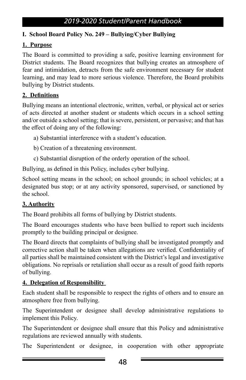### **I. School Board Policy No. 249 – Bullying/Cyber Bullying**

### **1. Purpose**

The Board is committed to providing a safe, positive learning environment for District students. The Board recognizes that bullying creates an atmosphere of fear and intimidation, detracts from the safe environment necessary for student learning, and may lead to more serious violence. Therefore, the Board prohibits bullying by District students.

### **2. Definitions**

Bullying means an intentional electronic, written, verbal, or physical act or series of acts directed at another student or students which occurs in a school setting and/or outside a school setting; that is severe, persistent, or pervasive; and that has the effect of doing any of the following:

a) Substantial interference with a student's education.

- b) Creation of a threatening environment.
- c) Substantial disruption of the orderly operation of the school.

Bullying, as defined in this Policy, includes cyber bullying.

School setting means in the school; on school grounds; in school vehicles; at a designated bus stop; or at any activity sponsored, supervised, or sanctioned by the school.

### **3. Authority**

The Board prohibits all forms of bullying by District students.

The Board encourages students who have been bullied to report such incidents promptly to the building principal or designee.

The Board directs that complaints of bullying shall be investigated promptly and corrective action shall be taken when allegations are verified. Confidentiality of all parties shall be maintained consistent with the District's legal and investigative obligations. No reprisals or retaliation shall occur as a result of good faith reports of bullying.

### **4. Delegation of Responsibility**

Each student shall be responsible to respect the rights of others and to ensure an atmosphere free from bullying.

The Superintendent or designee shall develop administrative regulations to implement this Policy.

The Superintendent or designee shall ensure that this Policy and administrative regulations are reviewed annually with students.

The Superintendent or designee, in cooperation with other appropriate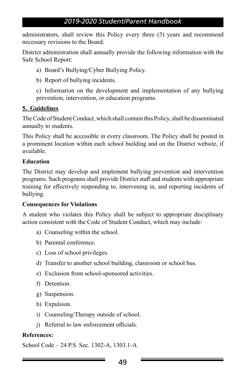administrators, shall review this Policy every three (3) years and recommend necessary revisions to the Board.

District administration shall annually provide the following information with the Safe School Report:

- a) Board's Bullying/Cyber Bullying Policy.
- b) Report of bullying incidents.

c) Information on the development and implementation of any bullying prevention, intervention, or education programs.

### **5. Guidelines**

The Code of Student Conduct, which shall contain this Policy, shall be disseminated annually to students.

This Policy shall be accessible in every classroom. The Policy shall be posted in a prominent location within each school building and on the District website, if available.

### **Education**

The District may develop and implement bullying prevention and intervention programs. Such programs shall provide District staff and students with appropriate training for effectively responding to, intervening in, and reporting incidents of bullying.

#### **Consequences for Violations**

A student who violates this Policy shall be subject to appropriate disciplinary action consistent with the Code of Student Conduct, which may include:

- a) Counseling within the school.
- b) Parental conference.
- c) Loss of school privileges.
- d) Transfer to another school building, classroom or school bus.
- e) Exclusion from school-sponsored activities.
- f) Detention.
- g) Suspension.
- h) Expulsion.
- i) Counseling/Therapy outside of school.
- j) Referral to law enforcement officials.

### **References:**

School Code – 24 P.S. Sec. 1302-A, 1303.1-A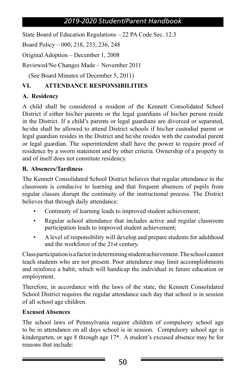State Board of Education Regulations – 22 PA Code Sec. 12.3

Board Policy – 000, 218, 233, 236, 248

Original Adoption – December 1, 2008

Reviewed/No Changes Made – November 2011

(See Board Minutes of December 5, 2011)

### **VI. ATTENDANCE RESPONSIBILITIES**

### **A. Residency**

A child shall be considered a resident of the Kennett Consolidated School District if either his/her parents or the legal guardians of his/her person reside in the District. If a child's parents or legal guardians are divorced or separated, he/she shall be allowed to attend District schools if his/her custodial parent or legal guardian resides in the District and he/she resides with the custodial parent or legal guardian. The superintendent shall have the power to require proof of residence by a sworn statement and by other criteria. Ownership of a property in and of itself does not constitute residency.

### **B. Absences/Tardiness**

The Kennett Consolidated School District believes that regular attendance in the classroom is conducive to learning and that frequent absences of pupils from regular classes disrupt the continuity of the instructional process. The District believes that through daily attendance:

- Continuity of learning leads to improved student achievement;
- Regular school attendance that includes active and regular classroom participation leads to improved student achievement;
- A level of responsibility will develop and prepare students for adulthood and the workforce of the 21st century.

Class participation is a factor in determining student achievement. The school cannot teach students who are not present. Poor attendance may limit accomplishments and reinforce a habit, which will handicap the individual in future education or employment.

Therefore, in accordance with the laws of the state, the Kennett Consolidated School District requires the regular attendance each day that school is in session of all school age children.

### **Excused Absences**

The school laws of Pennsylvania require children of compulsory school age to be in attendance on all days school is in session. Compulsory school age is kindergarten, or age 8 through age 17\*. A student's excused absence may be for reasons that include: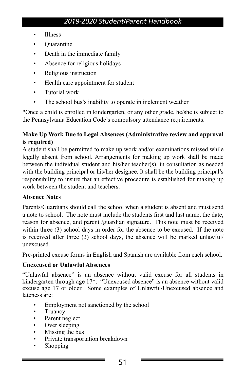- Illness
- Quarantine
- Death in the immediate family
- Absence for religious holidays
- Religious instruction
- Health care appointment for student
- Tutorial work
- The school bus's inability to operate in inclement weather

\*Once a child is enrolled in kindergarten, or any other grade, he/she is subject to the Pennsylvania Education Code's compulsory attendance requirements.

### **Make Up Work Due to Legal Absences (Administrative review and approval is required)**

A student shall be permitted to make up work and/or examinations missed while legally absent from school. Arrangements for making up work shall be made between the individual student and his/her teacher(s), in consultation as needed with the building principal or his/her designee. It shall be the building principal's responsibility to insure that an effective procedure is established for making up work between the student and teachers.

## **Absence Notes**

Parents/Guardians should call the school when a student is absent and must send a note to school. The note must include the students first and last name, the date, reason for absence, and parent /guardian signature. This note must be received within three (3) school days in order for the absence to be excused. If the note is received after three (3) school days, the absence will be marked unlawful/ unexcused.

Pre-printed excuse forms in English and Spanish are available from each school.

## **Unexcused or Unlawful Absences**

"Unlawful absence" is an absence without valid excuse for all students in kindergarten through age 17\*. "Unexcused absence" is an absence without valid excuse age 17 or older. Some examples of Unlawful/Unexcused absence and lateness are:

- Employment not sanctioned by the school
- **Truancy**
- Parent neglect
- Over sleeping
- Missing the bus
- Private transportation breakdown
- Shopping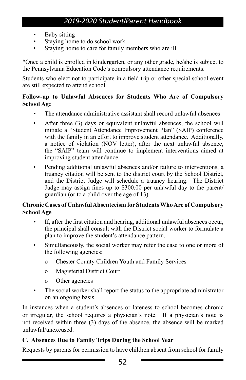- Baby sitting
- Staying home to do school work
- Staying home to care for family members who are ill

\*Once a child is enrolled in kindergarten, or any other grade, he/she is subject to the Pennsylvania Education Code's compulsory attendance requirements.

Students who elect not to participate in a field trip or other special school event are still expected to attend school.

### **Follow-up to Unlawful Absences for Students Who Are of Compulsory School Ag**e

- The attendance administrative assistant shall record unlawful absences
- After three (3) days or equivalent unlawful absences, the school will initiate a "Student Attendance Improvement Plan" (SAIP) conference with the family in an effort to improve student attendance. Additionally, a notice of violation (NOV letter), after the next unlawful absence, the "SAIP" team will continue to implement interventions aimed at improving student attendance.
- Pending additional unlawful absences and/or failure to interventions, a truancy citation will be sent to the district court by the School District, and the District Judge will schedule a truancy hearing. The District Judge may assign fines up to \$300.00 per unlawful day to the parent/ guardian (or to a child over the age of 13).

### **Chronic Cases of Unlawful Absenteeism for Students Who Are of Compulsory School Age**

- • If, after the first citation and hearing, additional unlawful absences occur, the principal shall consult with the District social worker to formulate a plan to improve the student's attendance pattern.
- Simultaneously, the social worker may refer the case to one or more of the following agencies:
	- o Chester County Children Youth and Family Services
	- o Magisterial District Court
	- o Other agencies
- The social worker shall report the status to the appropriate administrator on an ongoing basis.

In instances when a student's absences or lateness to school becomes chronic or irregular, the school requires a physician's note. If a physician's note is not received within three (3) days of the absence, the absence will be marked unlawful/unexcused.

## **C. Absences Due to Family Trips During the School Year**

Requests by parents for permission to have children absent from school for family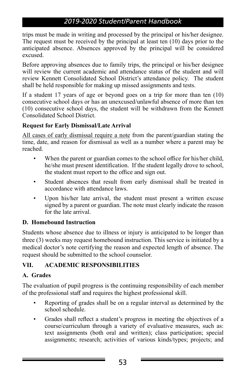trips must be made in writing and processed by the principal or his/her designee. The request must be received by the principal at least ten (10) days prior to the anticipated absence. Absences approved by the principal will be considered excused.

Before approving absences due to family trips, the principal or his/her designee will review the current academic and attendance status of the student and will review Kennett Consolidated School District's attendance policy. The student shall be held responsible for making up missed assignments and tests.

If a student 17 years of age or beyond goes on a trip for more than ten (10) consecutive school days or has an unexcused/unlawful absence of more than ten (10) consecutive school days, the student will be withdrawn from the Kennett Consolidated School District.

### **Request for Early Dismissal/Late Arrival**

All cases of early dismissal require a note from the parent/guardian stating the time, date, and reason for dismissal as well as a number where a parent may be reached.

- When the parent or guardian comes to the school office for his/her child, he/she must present identification. If the student legally drove to school, the student must report to the office and sign out.
- Student absences that result from early dismissal shall be treated in accordance with attendance laws.
- Upon his/her late arrival, the student must present a written excuse signed by a parent or guardian. The note must clearly indicate the reason for the late arrival.

#### **D. Homebound Instruction**

Students whose absence due to illness or injury is anticipated to be longer than three (3) weeks may request homebound instruction. This service is initiated by a medical doctor's note certifying the reason and expected length of absence. The request should be submitted to the school counselor.

### **VII. ACADEMIC RESPONSIBILITIES**

### **A. Grades**

The evaluation of pupil progress is the continuing responsibility of each member of the professional staff and requires the highest professional skill.

- Reporting of grades shall be on a regular interval as determined by the school schedule.
- Grades shall reflect a student's progress in meeting the objectives of a course/curriculum through a variety of evaluative measures, such as: text assignments (both oral and written); class participation; special assignments; research; activities of various kinds/types; projects; and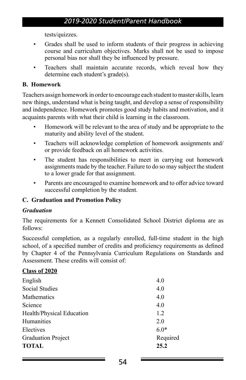tests/quizzes.

- Grades shall be used to inform students of their progress in achieving course and curriculum objectives. Marks shall not be used to impose personal bias nor shall they be influenced by pressure.
- Teachers shall maintain accurate records, which reveal how they determine each student's grade(s).

### **B. Homework**

Teachers assign homework in order to encourage each student to master skills, learn new things, understand what is being taught, and develop a sense of responsibility and independence. Homework promotes good study habits and motivation, and it acquaints parents with what their child is learning in the classroom.

- Homework will be relevant to the area of study and be appropriate to the maturity and ability level of the student.
- Teachers will acknowledge completion of homework assignments and/ or provide feedback on all homework activities.
- The student has responsibilities to meet in carrying out homework assignments made by the teacher. Failure to do so may subject the student to a lower grade for that assignment.
- Parents are encouraged to examine homework and to offer advice toward successful completion by the student.

## **C. Graduation and Promotion Policy**

## *Graduation*

The requirements for a Kennett Consolidated School District diploma are as follows:

Successful completion, as a regularly enrolled, full-time student in the high school, of a specified number of credits and proficiency requirements as defined by Chapter 4 of the Pennsylvania Curriculum Regulations on Standards and Assessment. These credits will consist of:

### **Class of 2020**

| English                   | 4.0      |
|---------------------------|----------|
| Social Studies            | 4.0      |
| <b>Mathematics</b>        | 4.0      |
| Science                   | 4.0      |
| Health/Physical Education | 1.2      |
| Humanities                | 2.0      |
| Electives                 | $6.0*$   |
| <b>Graduation Project</b> | Required |
| <b>TOTAL</b>              | 25.2     |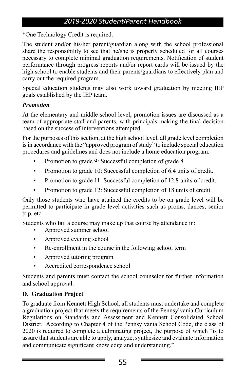\*One Technology Credit is required.

The student and/or his/her parent/guardian along with the school professional share the responsibility to see that he/she is properly scheduled for all courses necessary to complete minimal graduation requirements. Notification of student performance through progress reports and/or report cards will be issued by the high school to enable students and their parents/guardians to effectively plan and carry out the required program.

Special education students may also work toward graduation by meeting IEP goals established by the IEP team.

### *Promotion*

At the elementary and middle school level, promotion issues are discussed as a team of appropriate staff and parents, with principals making the final decision based on the success of interventions attempted.

For the purposes of this section, at the high school level, all grade level completion is in accordance with the "approved program of study" to include special education procedures and guidelines and does not include a home education program.

- Promotion to grade 9: Successful completion of grade 8.
- Promotion to grade 10: Successful completion of 6.4 units of credit.
- Promotion to grade 11: Successful completion of 12.8 units of credit.
- Promotion to grade 12: Successful completion of 18 units of credit.

Only those students who have attained the credits to be on grade level will be permitted to participate in grade level activities such as proms, dances, senior trip, etc.

Students who fail a course may make up that course by attendance in:

- Approved summer school
- Approved evening school
- Re-enrollment in the course in the following school term
- Approved tutoring program
- Accredited correspondence school

Students and parents must contact the school counselor for further information and school approval.

### **D. Graduation Project**

To graduate from Kennett High School, all students must undertake and complete a graduation project that meets the requirements of the Pennsylvania Curriculum Regulations on Standards and Assessment and Kennett Consolidated School District. According to Chapter 4 of the Pennsylvania School Code, the class of 2020 is required to complete a culminating project, the purpose of which "is to assure that students are able to apply, analyze, synthesize and evaluate information and communicate significant knowledge and understanding."

55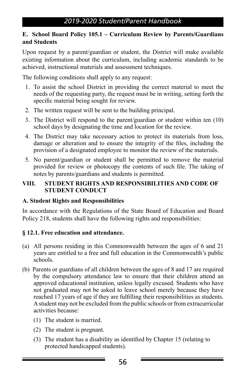#### **E. School Board Policy 105.1 – Curriculum Review by Parents/Guardians and Students**

Upon request by a parent/guardian or student, the District will make available existing information about the curriculum, including academic standards to be achieved, instructional materials and assessment techniques.

The following conditions shall apply to any request:

- 1. To assist the school District in providing the correct material to meet the needs of the requesting party, the request must be in writing, setting forth the specific material being sought for review.
- 2. The written request will be sent to the building principal.
- 3. The District will respond to the parent/guardian or student within ten (10) school days by designating the time and location for the review.
- 4. The District may take necessary action to protect its materials from loss, damage or alteration and to ensure the integrity of the files, including the provision of a designated employee to monitor the review of the materials.
- 5. No parent/guardian or student shall be permitted to remove the material provided for review or photocopy the contents of such file. The taking of notes by parents/guardians and students is permitted.

#### **VIII. STUDENT RIGHTS AND RESPONSIBILITIES AND CODE OF STUDENT CONDUCT**

### **A. Student Rights and Responsibilities**

In accordance with the Regulations of the State Board of Education and Board Policy 218, students shall have the following rights and responsibilities:

### **§ 12.1. Free education and attendance.**

- (a) All persons residing in this Commonwealth between the ages of 6 and 21 years are entitled to a free and full education in the Commonwealth's public schools.
- (b) Parents or guardians of all children between the ages of 8 and 17 are required by the compulsory attendance law to ensure that their children attend an approved educational institution, unless legally excused. Students who have not graduated may not be asked to leave school merely because they have reached 17 years of age if they are fulfilling their responsibilities as students. A student may not be excluded from the public schools or from extracurricular activities because:
	- (1) The student is married.
	- (2) The student is pregnant.
	- $(3)$  The student has a disability as identified by Chapter 15 (relating to protected handicapped students).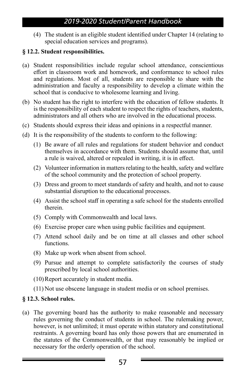(4) The student is an eligible student identified under Chapter 14 (relating to special education services and programs).

### **§ 12.2. Student responsibilities.**

- (a) Student responsibilities include regular school attendance, conscientious effort in classroom work and homework, and conformance to school rules and regulations. Most of all, students are responsible to share with the administration and faculty a responsibility to develop a climate within the school that is conducive to wholesome learning and living.
- (b) No student has the right to interfere with the education of fellow students. It is the responsibility of each student to respect the rights of teachers, students, administrators and all others who are involved in the educational process.
- (c) Students should express their ideas and opinions in a respectful manner.
- (d) It is the responsibility of the students to conform to the following:
	- (1) Be aware of all rules and regulations for student behavior and conduct themselves in accordance with them. Students should assume that, until a rule is waived, altered or repealed in writing, it is in effect.
	- (2) Volunteer information in matters relating to the health, safety and welfare of the school community and the protection of school property.
	- (3) Dress and groom to meet standards of safety and health, and not to cause substantial disruption to the educational processes.
	- (4) Assist the school staff in operating a safe school for the students enrolled therein.
	- (5) Comply with Commonwealth and local laws.
	- (6) Exercise proper care when using public facilities and equipment.
	- (7) Attend school daily and be on time at all classes and other school functions.
	- (8) Make up work when absent from school.
	- (9) Pursue and attempt to complete satisfactorily the courses of study prescribed by local school authorities.
	- (10)Report accurately in student media.
	- (11) Not use obscene language in student media or on school premises.

## **§ 12.3. School rules.**

(a) The governing board has the authority to make reasonable and necessary rules governing the conduct of students in school. The rulemaking power, however, is not unlimited; it must operate within statutory and constitutional restraints. A governing board has only those powers that are enumerated in the statutes of the Commonwealth, or that may reasonably be implied or necessary for the orderly operation of the school.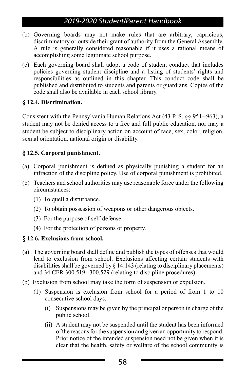- (b) Governing boards may not make rules that are arbitrary, capricious, discriminatory or outside their grant of authority from the General Assembly. A rule is generally considered reasonable if it uses a rational means of accomplishing some legitimate school purpose.
- (c) Each governing board shall adopt a code of student conduct that includes policies governing student discipline and a listing of students' rights and responsibilities as outlined in this chapter. This conduct code shall be published and distributed to students and parents or guardians. Copies of the code shall also be available in each school library.

### **§ 12.4. Discrimination.**

Consistent with the Pennsylvania Human Relations Act (43 P. S. §§ 951--963), a student may not be denied access to a free and full public education, nor may a student be subject to disciplinary action on account of race, sex, color, religion, sexual orientation, national origin or disability.

### **§ 12.5. Corporal punishment.**

- (a) Corporal punishment is defined as physically punishing a student for an infraction of the discipline policy. Use of corporal punishment is prohibited.
- (b) Teachers and school authorities may use reasonable force under the following circumstances:
	- (1) To quell a disturbance.
	- (2) To obtain possession of weapons or other dangerous objects.
	- (3) For the purpose of self-defense.
	- (4) For the protection of persons or property.

#### **§ 12.6. Exclusions from school.**

- (a) The governing board shall define and publish the types of offenses that would lead to exclusion from school. Exclusions affecting certain students with disabilities shall be governed by § 14.143 (relating to disciplinary placements) and 34 CFR 300.519--300.529 (relating to discipline procedures).
- (b) Exclusion from school may take the form of suspension or expulsion.
	- (1) Suspension is exclusion from school for a period of from 1 to 10 consecutive school days.
		- (i) Suspensions may be given by the principal or person in charge of the public school.
		- (ii) A student may not be suspended until the student has been informed of the reasons for the suspension and given an opportunity to respond. Prior notice of the intended suspension need not be given when it is clear that the health, safety or welfare of the school community is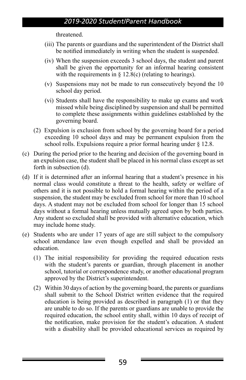threatened.

- (iii) The parents or guardians and the superintendent of the District shall be notified immediately in writing when the student is suspended.
- (iv) When the suspension exceeds 3 school days, the student and parent shall be given the opportunity for an informal hearing consistent with the requirements in  $\S$  12.8(c) (relating to hearings).
- (v) Suspensions may not be made to run consecutively beyond the 10 school day period.
- (vi) Students shall have the responsibility to make up exams and work missed while being disciplined by suspension and shall be permitted to complete these assignments within guidelines established by the governing board.
- (2) Expulsion is exclusion from school by the governing board for a period exceeding 10 school days and may be permanent expulsion from the school rolls. Expulsions require a prior formal hearing under § 12.8.
- (c) During the period prior to the hearing and decision of the governing board in an expulsion case, the student shall be placed in his normal class except as set forth in subsection (d).
- (d) If it is determined after an informal hearing that a student's presence in his normal class would constitute a threat to the health, safety or welfare of others and it is not possible to hold a formal hearing within the period of a suspension, the student may be excluded from school for more than 10 school days. A student may not be excluded from school for longer than 15 school days without a formal hearing unless mutually agreed upon by both parties. Any student so excluded shall be provided with alternative education, which may include home study.
- (e) Students who are under 17 years of age are still subject to the compulsory school attendance law even though expelled and shall be provided an education.
	- (1) The initial responsibility for providing the required education rests with the student's parents or guardian, through placement in another school, tutorial or correspondence study, or another educational program approved by the District's superintendent.
	- (2) Within 30 days of action by the governing board, the parents or guardians shall submit to the School District written evidence that the required education is being provided as described in paragraph (1) or that they are unable to do so. If the parents or guardians are unable to provide the required education, the school entity shall, within 10 days of receipt of the notification, make provision for the student's education. A student with a disability shall be provided educational services as required by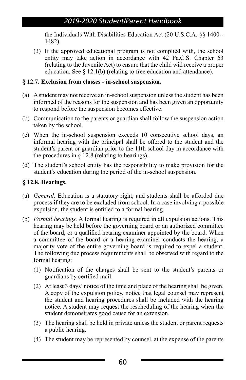the Individuals With Disabilities Education Act (20 U.S.C.A. §§ 1400-- 1482).

(3) If the approved educational program is not complied with, the school entity may take action in accordance with 42 Pa.C.S. Chapter 63 (relating to the Juvenile Act) to ensure that the child will receive a proper education. See  $\S 12.1(b)$  (relating to free education and attendance).

#### **§ 12.7. Exclusion from classes - in-school suspension.**

- (a) A student may not receive an in-school suspension unless the student has been informed of the reasons for the suspension and has been given an opportunity to respond before the suspension becomes effective.
- (b) Communication to the parents or guardian shall follow the suspension action taken by the school.
- (c) When the in-school suspension exceeds 10 consecutive school days, an informal hearing with the principal shall be offered to the student and the student's parent or guardian prior to the 11th school day in accordance with the procedures in  $\S$  12.8 (relating to hearings).
- (d) The student's school entity has the responsibility to make provision for the student's education during the period of the in-school suspension.

### **§ 12.8. Hearings.**

- (a) *General*. Education is a statutory right, and students shall be afforded due process if they are to be excluded from school. In a case involving a possible expulsion, the student is entitled to a formal hearing.
- (b) *Formal hearings.* A formal hearing is required in all expulsion actions. This hearing may be held before the governing board or an authorized committee of the board, or a qualified hearing examiner appointed by the board. When a committee of the board or a hearing examiner conducts the hearing, a majority vote of the entire governing board is required to expel a student. The following due process requirements shall be observed with regard to the formal hearing:
	- (1) Notification of the charges shall be sent to the student's parents or guardians by certified mail.
	- (2) At least 3 days' notice of the time and place of the hearing shall be given. A copy of the expulsion policy, notice that legal counsel may represent the student and hearing procedures shall be included with the hearing notice. A student may request the rescheduling of the hearing when the student demonstrates good cause for an extension.
	- (3) The hearing shall be held in private unless the student or parent requests a public hearing.
	- (4) The student may be represented by counsel, at the expense of the parents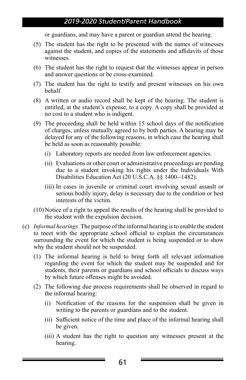or guardians, and may have a parent or guardian attend the hearing.

- (5) The student has the right to be presented with the names of witnesses against the student, and copies of the statements and affidavits of those witnesses.
- (6) The student has the right to request that the witnesses appear in person and answer questions or be cross-examined.
- (7) The student has the right to testify and present witnesses on his own behalf.
- (8) A written or audio record shall be kept of the hearing. The student is entitled, at the student's expense, to a copy. A copy shall be provided at no cost to a student who is indigent.
- (9) The proceeding shall be held within 15 school days of the notification of charges, unless mutually agreed to by both parties. A hearing may be delayed for any of the following reasons, in which case the hearing shall be held as soon as reasonably possible:
	- (i) Laboratory reports are needed from law enforcement agencies.
	- (ii) Evaluations or other court or administrative proceedings are pending due to a student invoking his rights under the Individuals With Disabilities Education Act (20 U.S.C.A. §§ 1400--1482).
	- (iii) In cases in juvenile or criminal court involving sexual assault or serious bodily injury, delay is necessary due to the condition or best interests of the victim.
- (10)Notice of a right to appeal the results of the hearing shall be provided to the student with the expulsion decision.
- (c) *Informal hearings*. The purpose of the informal hearing is to enable the student to meet with the appropriate school official to explain the circumstances surrounding the event for which the student is being suspended or to show why the student should not be suspended.
	- (1) The informal hearing is held to bring forth all relevant information regarding the event for which the student may be suspended and for students, their parents or guardians and school officials to discuss ways by which future offenses might be avoided.
	- (2) The following due process requirements shall be observed in regard to the informal hearing:
		- (i) Notification of the reasons for the suspension shall be given in writing to the parents or guardians and to the student.
		- (ii) Sufficient notice of the time and place of the informal hearing shall be given.
		- (iii) A student has the right to question any witnesses present at the hearing.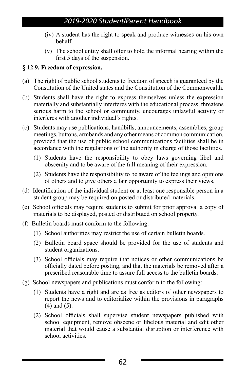- (iv) A student has the right to speak and produce witnesses on his own behalf.
- (v) The school entity shall offer to hold the informal hearing within the first 5 days of the suspension.

#### **§ 12.9. Freedom of expression.**

- (a) The right of public school students to freedom of speech is guaranteed by the Constitution of the United states and the Constitution of the Commonwealth.
- (b) Students shall have the right to express themselves unless the expression materially and substantially interferes with the educational process, threatens serious harm to the school or community, encourages unlawful activity or interferes with another individual's rights.
- (c) Students may use publications, handbills, announcements, assemblies, group meetings, buttons, armbands and any other means of common communication, provided that the use of public school communications facilities shall be in accordance with the regulations of the authority in charge of those facilities.
	- (1) Students have the responsibility to obey laws governing libel and obscenity and to be aware of the full meaning of their expression.
	- (2) Students have the responsibility to be aware of the feelings and opinions of others and to give others a fair opportunity to express their views.
- (d) Identification of the individual student or at least one responsible person in a student group may be required on posted or distributed materials.
- (e) School officials may require students to submit for prior approval a copy of materials to be displayed, posted or distributed on school property.
- (f) Bulletin boards must conform to the following:
	- (1) School authorities may restrict the use of certain bulletin boards.
	- (2) Bulletin board space should be provided for the use of students and student organizations.
	- (3) School officials may require that notices or other communications be officially dated before posting, and that the materials be removed after a prescribed reasonable time to assure full access to the bulletin boards.
- (g) School newspapers and publications must conform to the following:
	- (1) Students have a right and are as free as editors of other newspapers to report the news and to editorialize within the provisions in paragraphs (4) and (5).
	- (2) School officials shall supervise student newspapers published with school equipment, remove obscene or libelous material and edit other material that would cause a substantial disruption or interference with school activities.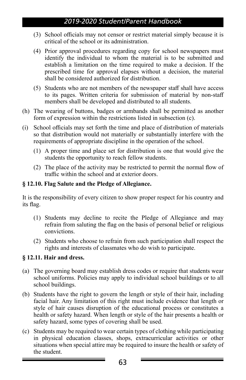- (3) School officials may not censor or restrict material simply because it is critical of the school or its administration.
- (4) Prior approval procedures regarding copy for school newspapers must identify the individual to whom the material is to be submitted and establish a limitation on the time required to make a decision. If the prescribed time for approval elapses without a decision, the material shall be considered authorized for distribution.
- (5) Students who are not members of the newspaper staff shall have access to its pages. Written criteria for submission of material by non-staff members shall be developed and distributed to all students.
- (h) The wearing of buttons, badges or armbands shall be permitted as another form of expression within the restrictions listed in subsection (c).
- (i) School officials may set forth the time and place of distribution of materials so that distribution would not materially or substantially interfere with the requirements of appropriate discipline in the operation of the school.
	- (1) A proper time and place set for distribution is one that would give the students the opportunity to reach fellow students.
	- (2) The place of the activity may be restricted to permit the normal flow of traffic within the school and at exterior doors.

### **§ 12.10. Flag Salute and the Pledge of Allegiance.**

It is the responsibility of every citizen to show proper respect for his country and its flag.

- (1) Students may decline to recite the Pledge of Allegiance and may refrain from saluting the flag on the basis of personal belief or religious convictions.
- (2) Students who choose to refrain from such participation shall respect the rights and interests of classmates who do wish to participate.

#### **§ 12.11. Hair and dress.**

- (a) The governing board may establish dress codes or require that students wear school uniforms. Policies may apply to individual school buildings or to all school buildings.
- (b) Students have the right to govern the length or style of their hair, including facial hair. Any limitation of this right must include evidence that length or style of hair causes disruption of the educational process or constitutes a health or safety hazard. When length or style of the hair presents a health or safety hazard, some types of covering shall be used.
- (c) Students may be required to wear certain types of clothing while participating in physical education classes, shops, extracurricular activities or other situations when special attire may be required to insure the health or safety of the student.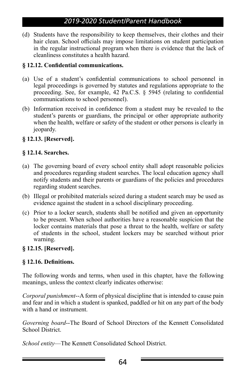(d) Students have the responsibility to keep themselves, their clothes and their hair clean. School officials may impose limitations on student participation in the regular instructional program when there is evidence that the lack of cleanliness constitutes a health hazard.

#### **§ 12.12. Confidential communications.**

- (a) Use of a student's confidential communications to school personnel in legal proceedings is governed by statutes and regulations appropriate to the proceeding. See, for example, 42 Pa.C.S. § 5945 (relating to confidential communications to school personnel).
- (b) Information received in confidence from a student may be revealed to the student's parents or guardians, the principal or other appropriate authority when the health, welfare or safety of the student or other persons is clearly in jeopardy.

### **§ 12.13. [Reserved].**

#### **§ 12.14. Searches.**

- (a) The governing board of every school entity shall adopt reasonable policies and procedures regarding student searches. The local education agency shall notify students and their parents or guardians of the policies and procedures regarding student searches.
- (b) Illegal or prohibited materials seized during a student search may be used as evidence against the student in a school disciplinary proceeding.
- (c) Prior to a locker search, students shall be notified and given an opportunity to be present. When school authorities have a reasonable suspicion that the locker contains materials that pose a threat to the health, welfare or safety of students in the school, student lockers may be searched without prior warning.

#### **§ 12.15. [Reserved].**

#### **§ 12.16. Definitions.**

The following words and terms, when used in this chapter, have the following meanings, unless the context clearly indicates otherwise:

*Corporal punishment*--A form of physical discipline that is intended to cause pain and fear and in which a student is spanked, paddled or hit on any part of the body with a hand or instrument.

*Governing board*--The Board of School Directors of the Kennett Consolidated School District.

*School entity*—The Kennett Consolidated School District.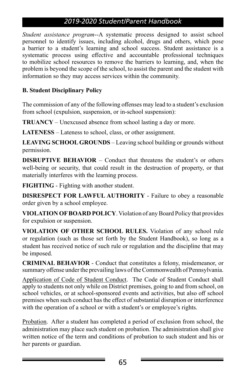*Student assistance program*--A systematic process designed to assist school personnel to identify issues, including alcohol, drugs and others, which pose a barrier to a student's learning and school success. Student assistance is a systematic process using effective and accountable professional techniques to mobilize school resources to remove the barriers to learning, and, when the problem is beyond the scope of the school, to assist the parent and the student with information so they may access services within the community.

### **B. Student Disciplinary Policy**

The commission of any of the following offenses may lead to a student's exclusion from school (expulsion, suspension, or in-school suspension):

**TRUANCY** – Unexcused absence from school lasting a day or more.

**LATENESS** – Lateness to school, class, or other assignment.

**LEAVING SCHOOL GROUNDS** – Leaving school building or grounds without permission.

**DISRUPTIVE BEHAVIOR** – Conduct that threatens the student's or others well-being or security, that could result in the destruction of property, or that materially interferes with the learning process.

**FIGHTING** - Fighting with another student.

**DISRESPECT FOR LAWFUL AUTHORITY** - Failure to obey a reasonable order given by a school employee.

**VIOLATION OF BOARD POLICY**. Violation of any Board Policy that provides for expulsion or suspension.

**VIOLATION OF OTHER SCHOOL RULES.** Violation of any school rule or regulation (such as those set forth by the Student Handbook), so long as a student has received notice of such rule or regulation and the discipline that may be imposed.

**CRIMINAL BEHAVIOR** - Conduct that constitutes a felony, misdemeanor, or summary offense under the prevailing laws of the Commonwealth of Pennsylvania.

Application of Code of Student Conduct. The Code of Student Conduct shall apply to students not only while on District premises, going to and from school, on school vehicles, or at school-sponsored events and activities, but also off school premises when such conduct has the effect of substantial disruption or interference with the operation of a school or with a student's or employee's rights.

Probation. After a student has completed a period of exclusion from school, the administration may place such student on probation. The administration shall give written notice of the term and conditions of probation to such student and his or her parents or guardian.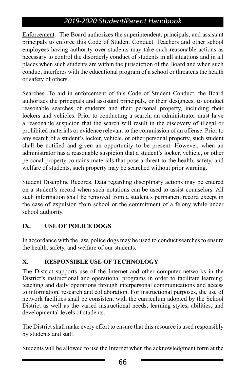Enforcement. The Board authorizes the superintendent, principals, and assistant principals to enforce this Code of Student Conduct. Teachers and other school employees having authority over students may take such reasonable actions as necessary to control the disorderly conduct of students in all situations and in all places when such students are within the jurisdiction of the Board and when such conduct interferes with the educational program of a school or threatens the health or safety of others.

Searches. To aid in enforcement of this Code of Student Conduct, the Board authorizes the principals and assistant principals, or their designees, to conduct reasonable searches of students and their personal property, including their lockers and vehicles. Prior to conducting a search, an administrator must have a reasonable suspicion that the search will result in the discovery of illegal or prohibited materials or evidence relevant to the commission of an offense. Prior to any search of a student's locker, vehicle, or other personal property, such student shall be notified and given an opportunity to be present. However, when an administrator has a reasonable suspicion that a student's locker, vehicle, or other personal property contains materials that pose a threat to the health, safety, and welfare of students, such property may be searched without prior warning.

Student Discipline Records. Data regarding disciplinary actions may be entered on a student's record when such notations can be used to assist counselors. All such information shall be removed from a student's permanent record except in the case of expulsion from school or the commitment of a felony while under school authority.

## **IX. USE OF POLICE DOGS**

In accordance with the law, police dogs may be used to conduct searches to ensure the health, safety, and welfare of our students.

## **X. RESPONSIBLE USE OF TECHNOLOGY**

The District supports use of the Internet and other computer networks in the District's instructional and operational programs in order to facilitate learning, teaching and daily operations through interpersonal communications and access to information, research and collaboration. For instructional purposes, the use of network facilities shall be consistent with the curriculum adopted by the School District as well as the varied instructional needs, learning styles, abilities, and developmental levels of students.

The District shall make every effort to ensure that this resource is used responsibly by students and staff.

Students will be allowed to use the Internet when the acknowledgment form at the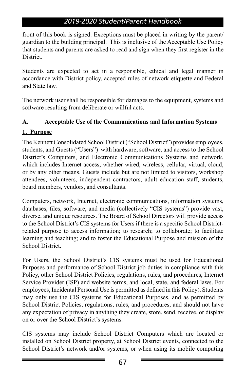front of this book is signed. Exceptions must be placed in writing by the parent/ guardian to the building principal. This is inclusive of the Acceptable Use Policy that students and parents are asked to read and sign when they first register in the **District** 

Students are expected to act in a responsible, ethical and legal manner in accordance with District policy, accepted rules of network etiquette and Federal and State law.

The network user shall be responsible for damages to the equipment, systems and software resulting from deliberate or willful acts.

### **A. Acceptable Use of the Communications and Information Systems**

### **1. Purpose**

The Kennett Consolidated School District ("School District") provides employees, students, and Guests ("Users") with hardware, software, and access to the School District's Computers, and Electronic Communications Systems and network, which includes Internet access, whether wired, wireless, cellular, virtual, cloud, or by any other means. Guests include but are not limited to visitors, workshop attendees, volunteers, independent contractors, adult education staff, students, board members, vendors, and consultants.

Computers, network, Internet, electronic communications, information systems, databases, files, software, and media (collectively "CIS systems") provide vast, diverse, and unique resources. The Board of School Directors will provide access to the School District's CIS systems for Users if there is a specific School Districtrelated purpose to access information; to research; to collaborate; to facilitate learning and teaching; and to foster the Educational Purpose and mission of the School District.

For Users, the School District's CIS systems must be used for Educational Purposes and performance of School District job duties in compliance with this Policy, other School District Policies, regulations, rules, and procedures, Internet Service Provider (ISP) and website terms, and local, state, and federal laws. For employees, Incidental Personal Use is permitted as defined in this Policy). Students may only use the CIS systems for Educational Purposes, and as permitted by School District Policies, regulations, rules, and procedures, and should not have any expectation of privacy in anything they create, store, send, receive, or display on or over the School District's systems.

CIS systems may include School District Computers which are located or installed on School District property, at School District events, connected to the School District's network and/or systems, or when using its mobile computing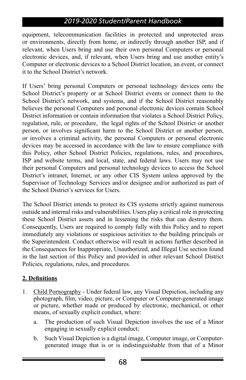equipment, telecommunication facilities in protected and unprotected areas or environments, directly from home, or indirectly through another ISP, and if relevant, when Users bring and use their own personal Computers or personal electronic devices, and, if relevant, when Users bring and use another entity's Computer or electronic devices to a School District location, an event, or connect it to the School District's network.

If Users' bring personal Computers or personal technology devices onto the School District's property or at School District events or connect them to the School District's network, and systems, and if the School District reasonably believes the personal Computers and personal electronic devices contain School District information or contain information that violates a School District Policy, regulation, rule, or procedure, the legal rights of the School District or another person, or involves significant harm to the School District or another person, or involves a criminal activity, the personal Computers or personal electronic devices may be accessed in accordance with the law to ensure compliance with this Policy, other School District Policies, regulations, rules, and procedures, ISP and website terms, and local, state, and federal laws. Users may not use their personal Computers and personal technology devices to access the School District's intranet, Internet, or any other CIS System unless approved by the Supervisor of Technology Services and/or designee and/or authorized as part of the School District's services for Users.

The School District intends to protect its CIS systems strictly against numerous outside and internal risks and vulnerabilities. Users play a critical role in protecting these School District assets and in lessening the risks that can destroy them. Consequently, Users are required to comply fully with this Policy and to report immediately any violations or suspicious activities to the building principals or the Superintendent. Conduct otherwise will result in actions further described in the Consequences for Inappropriate, Unauthorized, and Illegal Use section found in the last section of this Policy and provided in other relevant School District Policies, regulations, rules, and procedures.

### **2. Definitions**

- 1. Child Pornography Under federal law, any Visual Depiction, including any photograph, film, video, picture, or Computer or Computer-generated image or picture, whether made or produced by electronic, mechanical, or other means, of sexually explicit conduct, where:
	- a. The production of such Visual Depiction involves the use of a Minor engaging in sexually explicit conduct;
	- b. Such Visual Depiction is a digital image, Computer image, or Computergenerated image that is or is indistinguishable from that of a Minor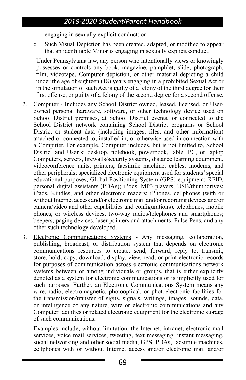engaging in sexually explicit conduct; or

c. Such Visual Depiction has been created, adapted, or modified to appear that an identifiable Minor is engaging in sexually explicit conduct.

Under Pennsylvania law, any person who intentionally views or knowingly possesses or controls any book, magazine, pamphlet, slide, photograph, film, videotape, Computer depiction, or other material depicting a child under the age of eighteen (18) years engaging in a prohibited Sexual Act or in the simulation of such Act is guilty of a felony of the third degree for their first offense, or guilty of a felony of the second degree for a second offense.

- 2. Computer Includes any School District owned, leased, licensed, or Userowned personal hardware, software, or other technology device used on School District premises, at School District events, or connected to the School District network containing School District programs or School District or student data (including images, files, and other information) attached or connected to, installed in, or otherwise used in connection with a Computer. For example, Computer includes, but is not limited to, School District and User's: desktop, notebook, powerbook, tablet PC, or laptop Computers, servers, firewalls/security systems, distance learning equipment, videoconference units, printers, facsimile machine, cables, modems, and other peripherals; specialized electronic equipment used for students' special educational purposes; Global Positioning System (GPS) equipment; RFID, personal digital assistants (PDAs); iPods, MP3 players; USB/thumbdrives; iPads, Kindles, and other electronic readers; iPhones, cellphones (with or without Internet access and/or electronic mail and/or recording devices and/or camera/video and other capabilities and configurations), telephones, mobile phones, or wireless devices, two-way radios/telephones and smartphones; beepers; paging devices, laser pointers and attachments, Pulse Pens, and any other such technology developed.
- 3. Electronic Communications Systems Any messaging, collaboration, publishing, broadcast, or distribution system that depends on electronic communications resources to create, send, forward, reply to, transmit, store, hold, copy, download, display, view, read, or print electronic records for purposes of communication across electronic communications network systems between or among individuals or groups, that is either explicitly denoted as a system for electronic communications or is implicitly used for such purposes. Further, an Electronic Communications System means any wire, radio, electromagnetic, photooptical, or photoelectronic facilities for the transmission/transfer of signs, signals, writings, images, sounds, data, or intelligence of any nature, wire or electronic communications and any Computer facilities or related electronic equipment for the electronic storage of such communications.

Examples include, without limitation, the Internet, intranet, electronic mail services, voice mail services, tweeting, text messaging, instant messaging, social networking and other social media, GPS, PDAs, facsimile machines, cellphones with or without Internet access and/or electronic mail and/or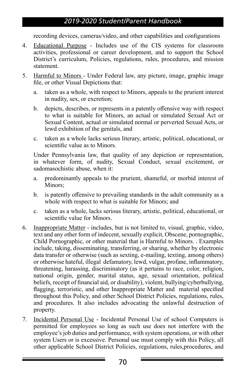recording devices, cameras/video, and other capabilities and configurations

- 4. Educational Purpose Includes use of the CIS systems for classroom activities, professional or career development, and to support the School District's curriculum, Policies, regulations, rules, procedures, and mission statement.
- 5. Harmful to Minors Under Federal law, any picture, image, graphic image file, or other Visual Depictions that:
	- a. taken as a whole, with respect to Minors, appeals to the prurient interest in nudity, sex, or excretion;
	- b. depicts, describes, or represents in a patently offensive way with respect to what is suitable for Minors, an actual or simulated Sexual Act or Sexual Content, actual or simulated normal or perverted Sexual Acts, or lewd exhibition of the genitals, and
	- c. taken as a whole lacks serious literary, artistic, political, educational, or scientific value as to Minors.

Under Pennsylvania law, that quality of any depiction or representation, in whatever form, of nudity, Sexual Conduct, sexual excitement, or sadomasochistic abuse, when it:

- a. predominantly appeals to the prurient, shameful, or morbid interest of Minors;
- b. is patently offensive to prevailing standards in the adult community as a whole with respect to what is suitable for Minors; and
- c. taken as a whole, lacks serious literary, artistic, political, educational, or scientific value for Minors.
- 6. Inappropriate Matter includes, but is not limited to, visual, graphic, video, text and any other form of indecent, sexually explicit, Obscene, pornographic, Child Pornographic, or other material that is Harmful to Minors. . Examples include, taking, disseminating, transferring, or sharing, whether by electronic data transfer or otherwise (such as sexting, e-mailing, texting, among others) or otherwise hateful, illegal defamatory, lewd, vulgar, profane, inflammatory, threatening, harassing, discriminatory (as it pertains to race, color, religion, national origin, gender, marital status, age, sexual orientation, political beliefs, receipt of financial aid, or disability), violent, bullying/cyberbullying, flagging, terroristic, and other Inappropriate Matter and material specified throughout this Policy, and other School District Policies, regulations, rules, and procedures. It also includes advocating the unlawful destruction of property.
- 7. Incidental Personal Use Incidental Personal Use of school Computers is permitted for employees so long as such use does not interfere with the employee's job duties and performance, with system operations, or with other system Users or is excessive. Personal use must comply with this Policy, all other applicable School District Policies, regulations, rules,procedures, and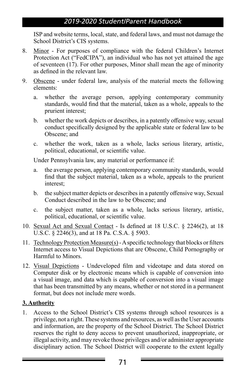ISP and website terms, local, state, and federal laws, and must not damage the School District's CIS systems.

- 8. Minor For purposes of compliance with the federal Children's Internet Protection Act ("FedCIPA"), an individual who has not yet attained the age of seventeen (17). For other purposes, Minor shall mean the age of minority as defined in the relevant law.
- 9. Obscene under federal law, analysis of the material meets the following elements:
	- a. whether the average person, applying contemporary community standards, would find that the material, taken as a whole, appeals to the prurient interest;
	- b. whether the work depicts or describes, in a patently offensive way, sexual conduct specifically designed by the applicable state or federal law to be Obscene; and
	- c. whether the work, taken as a whole, lacks serious literary, artistic, political, educational, or scientific value.

Under Pennsylvania law, any material or performance if:

- a. the average person, applying contemporary community standards, would find that the subject material, taken as a whole, appeals to the prurient interest;
- b. the subject matter depicts or describes in a patently offensive way, Sexual Conduct described in the law to be Obscene; and
- c. the subject matter, taken as a whole, lacks serious literary, artistic, political, educational, or scientific value.
- 10. Sexual Act and Sexual Contact Is defined at 18 U.S.C. § 2246(2), at 18 U.S.C. § 2246(3), and at 18 Pa. C.S.A. § 5903.
- 11. Technology Protection Measure(s)-Aspecific technology that blocks or filters Internet access to Visual Depictions that are Obscene, Child Pornography or Harmful to Minors.
- 12. Visual Depictions Undeveloped film and videotape and data stored on Computer disk or by electronic means which is capable of conversion into a visual image, and data which is capable of conversion into a visual image that has been transmitted by any means, whether or not stored in a permanent format, but does not include mere words.

## **3. Authority**

1. Access to the School District's CIS systems through school resources is a privilege, not a right. These systems and resources, as well as the User accounts and information, are the property of the School District. The School District reserves the right to deny access to prevent unauthorized, inappropriate, or illegal activity, and may revoke those privileges and/or administer appropriate disciplinary action. The School District will cooperate to the extent legally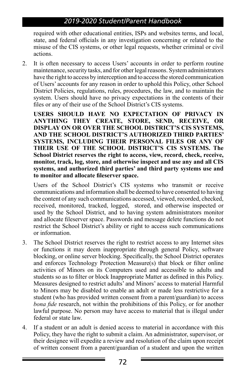required with other educational entities, ISPs and websites terms, and local, state, and federal officials in any investigation concerning or related to the misuse of the CIS systems, or other legal requests, whether criminal or civil actions.

2. It is often necessary to access Users' accounts in order to perform routine maintenance, security tasks, and for other legal reasons. System administrators have the right to access by interception and to access the stored communication of Users' accounts for any reason in order to uphold this Policy, other School District Policies, regulations, rules, procedures, the law, and to maintain the system. Users should have no privacy expectations in the contents of their files or any of their use of the School District's CIS systems.

**USERS SHOULD HAVE NO EXPECTATION OF PRIVACY IN ANYTHING THEY CREATE, STORE, SEND, RECEIVE, OR DISPLAY ON OR OVER THE SCHOOL DISTRICT'S CIS SYSTEMS, AND THE SCHOOL DISTRICT'S AUTHORIZED THIRD PARTIES' SYSTEMS, INCLUDING THEIR PERSONAL FILES OR ANY OF THEIR USE OF THE SCHOOL DISTRICT'S CIS SYSTEMS. The School District reserves the right to access, view, record, check, receive, monitor, track, log, store, and otherwise inspect and use any and all CIS systems, and authorized third parties' and third party systems use and to monitor and allocate fileserver space.**

Users of the School District's CIS systems who transmit or receive communications and information shall be deemed to have consented to having the content of any such communications accessed, viewed, recorded, checked, received, monitored, tracked, logged, stored, and otherwise inspected or used by the School District, and to having system administrators monitor and allocate fileserver space. Passwords and message delete functions do not restrict the School District's ability or right to access such communications or information.

- 3. The School District reserves the right to restrict access to any Internet sites or functions it may deem inappropriate through general Policy, software blocking, or online server blocking. Specifically, the School District operates and enforces Technology Protection Measure(s) that block or filter online activities of Minors on its Computers used and accessible to adults and students so as to filter or block Inappropriate Matter as defined in this Policy. Measures designed to restrict adults' and Minors' access to material Harmful to Minors may be disabled to enable an adult or made less restrictive for a student (who has provided written consent from a parent/guardian) to access *bona fide* research, not within the prohibitions of this Policy, or for another lawful purpose. No person may have access to material that is illegal under federal or state law.
- 4. If a student or an adult is denied access to material in accordance with this Policy, they have the right to submit a claim. An administrator, supervisor, or their designee will expedite a review and resolution of the claim upon receipt of written consent from a parent/guardian of a student and upon the written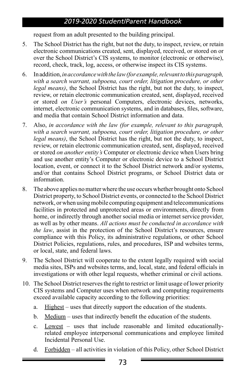request from an adult presented to the building principal.

- 5. The School District has the right, but not the duty, to inspect, review, or retain electronic communications created, sent, displayed, received, or stored on or over the School District's CIS systems, to monitor (electronic or otherwise), record, check, track, log, access, or otherwise inspect its CIS systems.
- 6. In addition, *in accordance with the law (for example, relevant to this paragraph,*  with a search warrant, subpoena, court order, litigation procedure, or other *legal means)*, the School District has the right, but not the duty, to inspect, review, or retain electronic communication created, sent, displayed, received or stored *on User's* personal Computers, electronic devices, networks, internet, electronic communication systems, and in databases, files, software, and media that contain School District information and data.
- 7. Also, *in accordance with the law (for example, relevant to this paragraph, with a search warrant, subpoena, court order, litigation procedure, or other legal means)*, the School District has the right, but not the duty, to inspect, review, or retain electronic communication created, sent, displayed, received or stored *on another entity's* Computer or electronic device when Users bring and use another entity's Computer or electronic device to a School District location, event, or connect it to the School District network and/or systems, and/or that contains School District programs, or School District data or information.
- 8. The above applies no matter where the use occurs whether brought onto School District property, to School District events, or connected to the School District network, or when using mobile computing equipment and telecommunications facilities in protected and unprotected areas or environments, directly from home, or indirectly through another social media or internet service provider, as well as by other means. *All actions must be conducted in accordance with the law*, assist in the protection of the School District's resources, ensure compliance with this Policy, its administrative regulations, or other School District Policies, regulations, rules, and procedures, ISP and websites terms, or local, state, and federal laws.
- 9. The School District will cooperate to the extent legally required with social media sites, ISPs and websites terms, and, local, state, and federal officials in investigations or with other legal requests, whether criminal or civil actions.
- 10. The School District reserves the right to restrict or limit usage of lower priority CIS systems and Computer uses when network and computing requirements exceed available capacity according to the following priorities:
	- a. Highest uses that directly support the education of the students.
	- b. Medium uses that indirectly benefit the education of the students.
	- c. Lowest uses that include reasonable and limited educationallyrelated employee interpersonal communications and employee limited Incidental Personal Use.
	- d. Forbidden all activities in violation of this Policy, other School District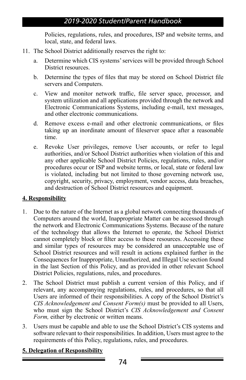Policies, regulations, rules, and procedures, ISP and website terms, and local, state, and federal laws.

- 11. The School District additionally reserves the right to:
	- a. Determine which CIS systems' services will be provided through School District resources.
	- b. Determine the types of files that may be stored on School District file servers and Computers.
	- c. View and monitor network traffic, file server space, processor, and system utilization and all applications provided through the network and Electronic Communications Systems, including e-mail, text messages, and other electronic communications.
	- d. Remove excess e-mail and other electronic communications, or files taking up an inordinate amount of fileserver space after a reasonable time.
	- e. Revoke User privileges, remove User accounts, or refer to legal authorities, and/or School District authorities when violation of this and any other applicable School District Policies, regulations, rules, and/or procedures occur or ISP and website terms, or local, state or federal law is violated, including but not limited to those governing network use, copyright, security, privacy, employment, vendor access, data breaches, and destruction of School District resources and equipment.

#### **4. Responsibility**

- 1. Due to the nature of the Internet as a global network connecting thousands of Computers around the world, Inappropriate Matter can be accessed through the network and Electronic Communications Systems. Because of the nature of the technology that allows the Internet to operate, the School District cannot completely block or filter access to these resources. Accessing these and similar types of resources may be considered an unacceptable use of School District resources and will result in actions explained further in the Consequences for Inappropriate, Unauthorized, and Illegal Use section found in the last Section of this Policy, and as provided in other relevant School District Policies, regulations, rules, and procedures.
- 2. The School District must publish a current version of this Policy, and if relevant, any accompanying regulations, rules, and procedures, so that all Users are informed of their responsibilities. A copy of the School District's *CIS Acknowledgement and Consent Form(s)* must be provided to all Users, who must sign the School District's *CIS Acknowledgement and Consent Form,* either by electronic or written means.
- 3. Users must be capable and able to use the School District's CIS systems and software relevant to their responsibilities. In addition, Users must agree to the requirements of this Policy, regulations, rules, and procedures.

#### **5. Delegation of Responsibility**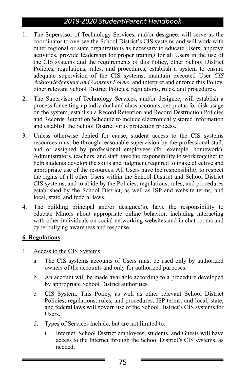- 1. The Supervisor of Technology Services, and/or designee, will serve as the coordinator to oversee the School District's CIS systems and will work with other regional or state organizations as necessary to educate Users, approve activities, provide leadership for proper training for all Users in the use of the CIS systems and the requirements of this Policy, other School District Policies, regulations, rules, and procedures, establish a system to ensure adequate supervision of the CIS systems, maintain executed User *CIS Acknowledgement and Consent Forms*, and interpret and enforce this Policy, other relevant School District Policies, regulations, rules, and procedures.
- 2. The Supervisor of Technology Services, and/or designee, will establish a process for setting-up individual and class accounts, set quotas for disk usage on the system, establish a Record Retention and Record Destruction Policies and Records Retention Schedule to include electronically stored information and establish the School District virus protection process.
- 3. Unless otherwise denied for cause, student access to the CIS systems resources must be through reasonable supervision by the professional staff, and or assigned by professional employees (for example, homework). Administrators, teachers, and staff have the responsibility to work together to help students develop the skills and judgment required to make effective and appropriate use of the resources. All Users have the responsibility to respect the rights of all other Users within the School District and School District CIS systems, and to abide by the Policies, regulations, rules, and procedures established by the School District, as well as ISP and website terms, and local, state, and federal laws.
- 4. The building principal and/or designee(s), have the responsibility to educate Minors about appropriate online behavior, including interacting with other individuals on social networking websites and in chat rooms and cyberbullying awareness and response.

#### **6. Regulations**

- 1. Access to the CIS Systems
	- a. The CIS systems accounts of Users must be used only by authorized owners of the accounts and only for authorized purposes.
	- b. An account will be made available according to a procedure developed by appropriate School District authorities.
	- c. CIS System. This Policy, as well as other relevant School District Policies, regulations, rules, and procedures, ISP terms, and local, state, and federal laws will govern use of the School District's CIS systems for Users.
	- d. Types of Services include, but are not limited to:
		- i. Internet. School District employees, students, and Guests will have access to the Internet through the School District's CIS systems, as needed.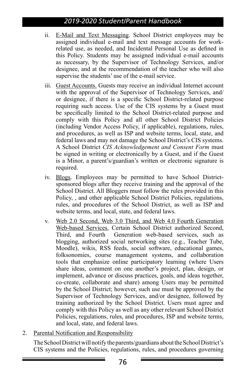- ii. E-Mail and Text Messaging. School District employees may be assigned individual e-mail and text message accounts for workrelated use, as needed, and Incidental Personal Use as defined in this Policy. Students may be assigned individual e-mail accounts as necessary, by the Supervisor of Technology Services, and/or designee, and at the recommendation of the teacher who will also supervise the students' use of the e-mail service.
- iii. Guest Accounts. Guests may receive an individual Internet account with the approval of the Supervisor of Technology Services, and/ or designee, if there is a specific School District-related purpose requiring such access. Use of the CIS systems by a Guest must be specifically limited to the School District-related purpose and comply with this Policy and all other School District Policies (including Vendor Access Policy, if applicable), regulations, rules, and procedures, as well as ISP and website terms, local, state, and federal laws and may not damage the School District's CIS systems. A School District *CIS Acknowledgement and Consent Form* must be signed in writing or electronically by a Guest, and if the Guest is a Minor, a parent's/guardian's written or electronic signature is required.
- iv. Blogs. Employees may be permitted to have School Districtsponsored blogs after they receive training and the approval of the School District. All Bloggers must follow the rules provided in this Policy, , and other applicable School District Policies, regulations, rules, and procedures of the School District, as well as ISP and website terms, and local, state, and federal laws.
- v. Web 2.0 Second, Web 3.0 Third, and Web 4.0 Fourth Generation Web-based Services. Certain School District authorized Second, Third, and Fourth Generation web-based services, such as blogging, authorized social networking sites (e.g., Teacher Tube, Moodle), wikis, RSS feeds, social software, educational games, folksonomies, course management systems, and collaboration tools that emphasize online participatory learning (where Users share ideas, comment on one another's project, plan, design, or implement, advance or discuss practices, goals, and ideas together, co-create, collaborate and share) among Users may be permitted by the School District; however, such use must be approved by the Supervisor of Technology Services, and/or designee, followed by training authorized by the School District. Users must agree and comply with this Policy as well as any other relevant School District Policies, regulations, rules, and procedures, ISP and website terms, and local, state, and federal laws.
- 2. Parental Notification and Responsibility

The School District will notify the parents/guardians about the School District's CIS systems and the Policies, regulations, rules, and procedures governing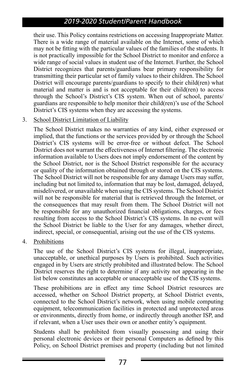their use. This Policy contains restrictions on accessing Inappropriate Matter. There is a wide range of material available on the Internet, some of which may not be fitting with the particular values of the families of the students. It is not practically impossible for the School District to monitor and enforce a wide range of social values in student use of the Internet. Further, the School District recognizes that parents/guardians bear primary responsibility for transmitting their particular set of family values to their children. The School District will encourage parents/guardians to specify to their child(ren) what material and matter is and is not acceptable for their child(ren) to access through the School's District's CIS system. When out of school, parents/ guardians are responsible to help monitor their child(ren)'s use of the School District's CIS systems when they are accessing the systems.

3. School District Limitation of Liability

The School District makes no warranties of any kind, either expressed or implied, that the functions or the services provided by or through the School District's CIS systems will be error-free or without defect. The School District does not warrant the effectiveness of Internet filtering. The electronic information available to Users does not imply endorsement of the content by the School District, nor is the School District responsible for the accuracy or quality of the information obtained through or stored on the CIS systems. The School District will not be responsible for any damage Users may suffer, including but not limited to, information that may be lost, damaged, delayed, misdelivered, or unavailable when using the CIS systems. The School District will not be responsible for material that is retrieved through the Internet, or the consequences that may result from them. The School District will not be responsible for any unauthorized financial obligations, charges, or fees resulting from access to the School District's CIS systems. In no event will the School District be liable to the User for any damages, whether direct, indirect, special, or consequential, arising out the use of the CIS systems.

4. Prohibitions

The use of the School District's CIS systems for illegal, inappropriate, unacceptable, or unethical purposes by Users is prohibited. Such activities engaged in by Users are strictly prohibited and illustrated below. The School District reserves the right to determine if any activity not appearing in the list below constitutes an acceptable or unacceptable use of the CIS systems.

These prohibitions are in effect any time School District resources are accessed, whether on School District property, at School District events, connected to the School District's network, when using mobile computing equipment, telecommunication facilities in protected and unprotected areas or environments, directly from home, or indirectly through another ISP, and if relevant, when a User uses their own or another entity's equipment.

Students shall be prohibited from visually possessing and using their personal electronic devices or their personal Computers as defined by this Policy, on School District premises and property (including but not limited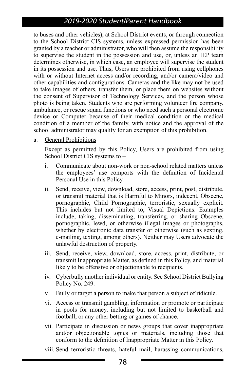to buses and other vehicles), at School District events, or through connection to the School District CIS systems, unless expressed permission has been granted by a teacher or administrator, who will then assume the responsibility to supervise the student in the possession and use, or, unless an IEP team determines otherwise, in which case, an employee will supervise the student in its possession and use. Thus, Users are prohibited from using cellphones with or without Internet access and/or recording, and/or camera/video and other capabilities and configurations. Cameras and the like may not be used to take images of others, transfer them, or place them on websites without the consent of Supervisor of Technology Services, and the person whose photo is being taken. Students who are performing volunteer fire company, ambulance, or rescue squad functions or who need such a personal electronic device or Computer because of their medical condition or the medical condition of a member of the family, with notice and the approval of the school administrator may qualify for an exemption of this prohibition.

#### a. General Prohibitions

Except as permitted by this Policy, Users are prohibited from using School District CIS systems to –

- i. Communicate about non-work or non-school related matters unless the employees' use comports with the definition of Incidental Personal Use in this Policy.
- ii. Send, receive, view, download, store, access, print, post, distribute, or transmit material that is Harmful to Minors, indecent, Obscene, pornographic, Child Pornographic, terroristic, sexually explicit. This includes but not limited to, Visual Depictions. Examples include, taking, disseminating, transferring, or sharing Obscene, pornographic, lewd, or otherwise illegal images or photographs, whether by electronic data transfer or otherwise (such as sexting, e-mailing, texting, among others). Neither may Users advocate the unlawful destruction of property.
- iii. Send, receive, view, download, store, access, print, distribute, or transmit Inappropriate Matter, as defined in this Policy, and material likely to be offensive or objectionable to recipients.
- iv. Cyberbully another individual or entity. See School District Bullying Policy No. 249.
- v. Bully or target a person to make that person a subject of ridicule.
- vi. Access or transmit gambling, information or promote or participate in pools for money, including but not limited to basketball and football, or any other betting or games of chance.
- vii. Participate in discussion or news groups that cover inappropriate and/or objectionable topics or materials, including those that conform to the definition of Inappropriate Matter in this Policy.

viii. Send terroristic threats, hateful mail, harassing communications,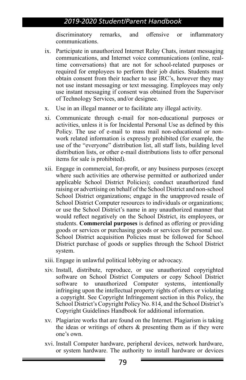discriminatory remarks, and offensive or inflammatory communications.

- ix. Participate in unauthorized Internet Relay Chats, instant messaging communications, and Internet voice communications (online, realtime conversations) that are not for school-related purposes or required for employees to perform their job duties. Students must obtain consent from their teacher to use IRC's, however they may not use instant messaging or text messaging. Employees may only use instant messaging if consent was obtained from the Supervisor of Technology Services, and/or designee.
- x. Use in an illegal manner or to facilitate any illegal activity.
- xi. Communicate through e-mail for non-educational purposes or activities, unless it is for Incidental Personal Use as defined by this Policy. The use of e-mail to mass mail non-educational or nonwork related information is expressly prohibited (for example, the use of the "everyone" distribution list, all staff lists, building level distribution lists, or other e-mail distributions lists to offer personal items for sale is prohibited).
- xii. Engage in commercial, for-profit, or any business purposes (except where such activities are otherwise permitted or authorized under applicable School District Policies); conduct unauthorized fund raising or advertising on behalf of the School District and non-school School District organizations; engage in the unapproved resale of School District Computer resources to individuals or organizations; or use the School District's name in any unauthorized manner that would reflect negatively on the School District, its employees, or students. **Commercial purposes** is defined as offering or providing goods or services or purchasing goods or services for personal use. School District acquisition Policies must be followed for School District purchase of goods or supplies through the School District system.
- xiii. Engage in unlawful political lobbying or advocacy.
- xiv. Install, distribute, reproduce, or use unauthorized copyrighted software on School District Computers or copy School District software to unauthorized Computer systems, intentionally infringing upon the intellectual property rights of others or violating a copyright. See Copyright Infringement section in this Policy, the School District's Copyright Policy No. 814, and the School District's Copyright Guidelines Handbook for additional information.
- xv. Plagiarize works that are found on the Internet. Plagiarism is taking the ideas or writings of others & presenting them as if they were one's own.
- xvi. Install Computer hardware, peripheral devices, network hardware, or system hardware. The authority to install hardware or devices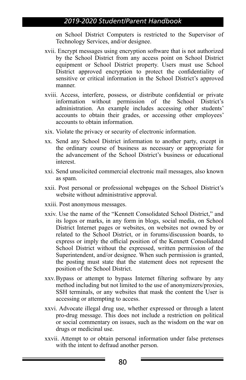on School District Computers is restricted to the Supervisor of Technology Services, and/or designee.

- xvii. Encrypt messages using encryption software that is not authorized by the School District from any access point on School District equipment or School District property. Users must use School District approved encryption to protect the confidentiality of sensitive or critical information in the School District's approved manner.
- xviii. Access, interfere, possess, or distribute confidential or private information without permission of the School District's administration. An example includes accessing other students' accounts to obtain their grades, or accessing other employees' accounts to obtain information.
- xix. Violate the privacy or security of electronic information.
- xx. Send any School District information to another party, except in the ordinary course of business as necessary or appropriate for the advancement of the School District's business or educational interest.
- xxi. Send unsolicited commercial electronic mail messages, also known as spam.
- xxii. Post personal or professional webpages on the School District's website without administrative approval.
- xxiii. Post anonymous messages.
- xxiv. Use the name of the "Kennett Consolidated School District," and its logos or marks, in any form in blogs, social media, on School District Internet pages or websites, on websites not owned by or related to the School District, or in forums/discussion boards, to express or imply the official position of the Kennett Consolidated School District without the expressed, written permission of the Superintendent, and/or designee. When such permission is granted, the posting must state that the statement does not represent the position of the School District.
- xxv. Bypass or attempt to bypass Internet filtering software by any method including but not limited to the use of anonymizers/proxies, SSH terminals, or any websites that mask the content the User is accessing or attempting to access.
- xxvi. Advocate illegal drug use, whether expressed or through a latent pro-drug message. This does not include a restriction on political or social commentary on issues, such as the wisdom on the war on drugs or medicinal use.
- xxvii. Attempt to or obtain personal information under false pretenses with the intent to defraud another person.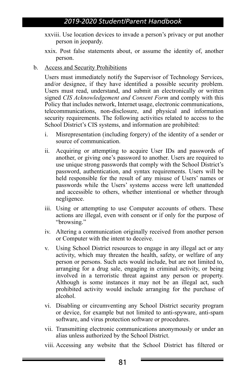- xxviii. Use location devices to invade a person's privacy or put another person in jeopardy.
- xxix. Post false statements about, or assume the identity of, another person.
- b. Access and Security Prohibitions

Users must immediately notify the Supervisor of Technology Services, and/or designee, if they have identified a possible security problem. Users must read, understand, and submit an electronically or written signed *CIS Acknowledgement and Consent Form* and comply with this Policy that includes network, Internet usage, electronic communications, telecommunications, non-disclosure, and physical and information security requirements. The following activities related to access to the School District's CIS systems, and information are prohibited:

- i. Misrepresentation (including forgery) of the identity of a sender or source of communication.
- ii. Acquiring or attempting to acquire User IDs and passwords of another, or giving one's password to another. Users are required to use unique strong passwords that comply with the School District's password, authentication, and syntax requirements. Users will be held responsible for the result of any misuse of Users' names or passwords while the Users' systems access were left unattended and accessible to others, whether intentional or whether through negligence.
- iii. Using or attempting to use Computer accounts of others. These actions are illegal, even with consent or if only for the purpose of "browsing."
- iv. Altering a communication originally received from another person or Computer with the intent to deceive.
- v. Using School District resources to engage in any illegal act or any activity, which may threaten the health, safety, or welfare of any person or persons. Such acts would include, but are not limited to, arranging for a drug sale, engaging in criminal activity, or being involved in a terroristic threat against any person or property. Although is some instances it may not be an illegal act, such prohibited activity would include arranging for the purchase of alcohol.
- vi. Disabling or circumventing any School District security program or device, for example but not limited to anti-spyware, anti-spam software, and virus protection software or procedures.
- vii. Transmitting electronic communications anonymously or under an alias unless authorized by the School District.
- viii. Accessing any website that the School District has filtered or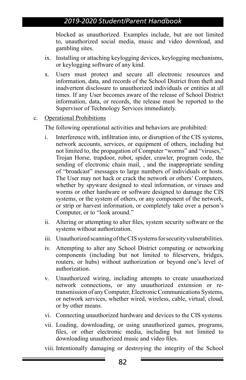blocked as unauthorized. Examples include, but are not limited to, unauthorized social media, music and video download, and gambling sites.

- ix. Installing or attaching keylogging devices, keylogging mechanisms, or keylogging software of any kind.
- x. Users must protect and secure all electronic resources and information, data, and records of the School District from theft and inadvertent disclosure to unauthorized individuals or entities at all times. If any User becomes aware of the release of School District information, data, or records, the release must be reported to the Supervisor of Technology Services immediately.

#### c. Operational Prohibitions

The following operational activities and behaviors are prohibited:

- i. Interference with, infiltration into, or disruption of the CIS systems, network accounts, services, or equipment of others, including but not limited to, the propagation of Computer "worms" and "viruses," Trojan Horse, trapdoor, robot, spider, crawler, program code, the sending of electronic chain mail, , and the inappropriate sending of "broadcast" messages to large numbers of individuals or hosts. The User may not hack or crack the network or others' Computers, whether by spyware designed to steal information, or viruses and worms or other hardware or software designed to damage the CIS systems, or the system of others, or any component of the network, or strip or harvest information, or completely take over a person's Computer, or to "look around."
- ii. Altering or attempting to alter files, system security software or the systems without authorization.
- iii. Unauthorized scanning of the CIS systems for security vulnerabilities.
- iv. Attempting to alter any School District computing or networking components (including but not limited to fileservers, bridges, routers, or hubs) without authorization or beyond one's level of authorization.
- v. Unauthorized wiring, including attempts to create unauthorized network connections, or any unauthorized extension or retransmission of any Computer, Electronic Communications Systems, or network services, whether wired, wireless, cable, virtual, cloud, or by other means.
- vi. Connecting unauthorized hardware and devices to the CIS systems.
- vii. Loading, downloading, or using unauthorized games, programs, files, or other electronic media, including but not limited to downloading unauthorized music and video files.
- viii. Intentionally damaging or destroying the integrity of the School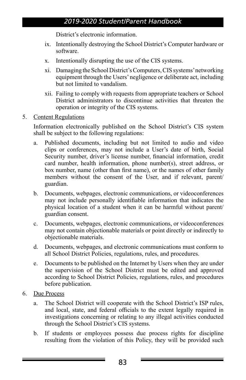District's electronic information.

- ix. Intentionally destroying the School District's Computer hardware or software.
- x. Intentionally disrupting the use of the CIS systems.
- xi. Damaging the School District's Computers, CIS systems' networking equipment through the Users' negligence or deliberate act, including but not limited to vandalism.
- xii. Failing to comply with requests from appropriate teachers or School District administrators to discontinue activities that threaten the operation or integrity of the CIS systems.
- 5. Content Regulations

Information electronically published on the School District's CIS system shall be subject to the following regulations:

- a. Published documents, including but not limited to audio and video clips or conferences, may not include a User's date of birth, Social Security number, driver's license number, financial information, credit card number, health information, phone number(s), street address, or box number, name (other than first name), or the names of other family members without the consent of the User, and if relevant, parent/ guardian.
- b. Documents, webpages, electronic communications, or videoconferences may not include personally identifiable information that indicates the physical location of a student when it can be harmful without parent/ guardian consent.
- c. Documents, webpages, electronic communications, or videoconferences may not contain objectionable materials or point directly or indirectly to objectionable materials.
- d. Documents, webpages, and electronic communications must conform to all School District Policies, regulations, rules, and procedures.
- e. Documents to be published on the Internet by Users when they are under the supervision of the School District must be edited and approved according to School District Policies, regulations, rules, and procedures before publication.
- 6. Due Process
	- a. The School District will cooperate with the School District's ISP rules, and local, state, and federal officials to the extent legally required in investigations concerning or relating to any illegal activities conducted through the School District's CIS systems.
	- b. If students or employees possess due process rights for discipline resulting from the violation of this Policy, they will be provided such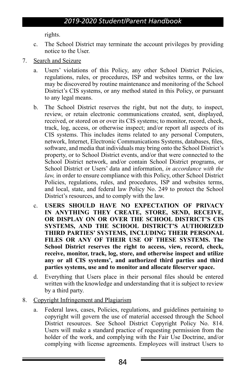rights.

- c. The School District may terminate the account privileges by providing notice to the User.
- 7. Search and Seizure
	- a. Users' violations of this Policy, any other School District Policies, regulations, rules, or procedures, ISP and websites terms, or the law may be discovered by routine maintenance and monitoring of the School District's CIS systems, or any method stated in this Policy, or pursuant to any legal means.
	- b. The School District reserves the right, but not the duty, to inspect, review, or retain electronic communications created, sent, displayed, received, or stored on or over its CIS systems; to monitor, record, check, track, log, access, or otherwise inspect; and/or report all aspects of its CIS systems. This includes items related to any personal Computers, network, Internet, Electronic Communications Systems, databases, files, software, and media that individuals may bring onto the School District's property, or to School District events, and/or that were connected to the School District network, and/or contain School District programs, or School District or Users' data and information, *in accordance with the law,* in order to ensure compliance with this Policy, other School District Policies, regulations, rules, and procedures, ISP and websites terms, and local, state, and federal law Policy No. 249 to protect the School District's resources, and to comply with the law.
	- c. **USERS SHOULD HAVE NO EXPECTATION OF PRIVACY IN ANYTHING THEY CREATE, STORE, SEND, RECEIVE, OR DISPLAY ON OR OVER THE SCHOOL DISTRICT'S CIS SYSTEMS, AND THE SCHOOL DISTRICT'S AUTHORIZED THIRD PARTIES' SYSTEMS, INCLUDING THEIR PERSONAL FILES OR ANY OF THEIR USE OF THESE SYSTEMS. The School District reserves the right to access, view, record, check, receive, monitor, track, log, store, and otherwise inspect and utilize any or all CIS systems', and authorized third parties and third parties systems, use and to monitor and allocate fileserver space.**
	- d. Everything that Users place in their personal files should be entered written with the knowledge and understanding that it is subject to review by a third party.
- 8. Copyright Infringement and Plagiarism
	- a. Federal laws, cases, Policies, regulations, and guidelines pertaining to copyright will govern the use of material accessed through the School District resources. See School District Copyright Policy No. 814. Users will make a standard practice of requesting permission from the holder of the work, and complying with the Fair Use Doctrine, and/or complying with license agreements. Employees will instruct Users to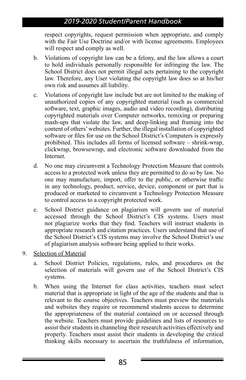respect copyrights, request permission when appropriate, and comply with the Fair Use Doctrine and/or with license agreements. Employees will respect and comply as well.

- b. Violations of copyright law can be a felony, and the law allows a court to hold individuals personally responsible for infringing the law. The School District does not permit illegal acts pertaining to the copyright law. Therefore, any User violating the copyright law does so at his/her own risk and assumes all liability.
- c. Violations of copyright law include but are not limited to the making of unauthorized copies of any copyrighted material (such as commercial software, text, graphic images, audio and video recording), distributing copyrighted materials over Computer networks, remixing or preparing mash-ups that violate the law, and deep-linking and framing into the content of others' websites. Further, the illegal installation of copyrighted software or files for use on the School District's Computers is expressly prohibited. This includes all forms of licensed software – shrink-wrap, clickwrap, browsewrap, and electronic software downloaded from the Internet.
- d. No one may circumvent a Technology Protection Measure that controls access to a protected work unless they are permitted to do so by law. No one may manufacture, import, offer to the public, or otherwise traffic in any technology, product, service, device, component or part that is produced or marketed to circumvent a Technology Protection Measure to control access to a copyright protected work.
- e. School District guidance on plagiarism will govern use of material accessed through the School District's CIS systems. Users must not plagiarize works that they find. Teachers will instruct students in appropriate research and citation practices. Users understand that use of the School District's CIS systems may involve the School District's use of plagiarism analysis software being applied to their works.
- 9. Selection of Material
	- a. School District Policies, regulations, rules, and procedures on the selection of materials will govern use of the School District's CIS systems.
	- b. When using the Internet for class activities, teachers must select material that is appropriate in light of the age of the students and that is relevant to the course objectives. Teachers must preview the materials and websites they require or recommend students access to determine the appropriateness of the material contained on or accessed through the website. Teachers must provide guidelines and lists of resources to assist their students in channeling their research activities effectively and properly. Teachers must assist their students in developing the critical thinking skills necessary to ascertain the truthfulness of information,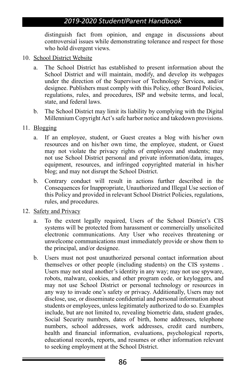distinguish fact from opinion, and engage in discussions about controversial issues while demonstrating tolerance and respect for those who hold divergent views.

- 10. School District Website
	- a. The School District has established to present information about the School District and will maintain, modify, and develop its webpages under the direction of the Supervisor of Technology Services, and/or designee. Publishers must comply with this Policy, other Board Policies, regulations, rules, and procedures, ISP and website terms, and local, state, and federal laws.
	- b. The School District may limit its liability by complying with the Digital Millennium Copyright Act's safe harbor notice and takedown provisions.

#### 11. Blogging

- a. If an employee, student, or Guest creates a blog with his/her own resources and on his/her own time, the employee, student, or Guest may not violate the privacy rights of employees and students; may not use School District personal and private information/data, images, equipment, resources, and infringed copyrighted material in his/her blog; and may not disrupt the School District.
- b. Contrary conduct will result in actions further described in the Consequences for Inappropriate, Unauthorized and Illegal Use section of this Policy and provided in relevant School District Policies, regulations, rules, and procedures.
- 12. Safety and Privacy
	- a. To the extent legally required, Users of the School District's CIS systems will be protected from harassment or commercially unsolicited electronic communications. Any User who receives threatening or unwelcome communications must immediately provide or show them to the principal, and/or designee.
	- b. Users must not post unauthorized personal contact information about themselves or other people (including students) on the CIS systems . Users may not steal another's identity in any way; may not use spyware, robots, malware, cookies, and other program code, or keyloggers, and may not use School District or personal technology or resources in any way to invade one's safety or privacy. Additionally, Users may not disclose, use, or disseminate confidential and personal information about students or employees, unless legitimately authorized to do so. Examples include, but are not limited to, revealing biometric data, student grades, Social Security numbers, dates of birth, home addresses, telephone numbers, school addresses, work addresses, credit card numbers, health and financial information, evaluations, psychological reports, educational records, reports, and resumes or other information relevant to seeking employment at the School District.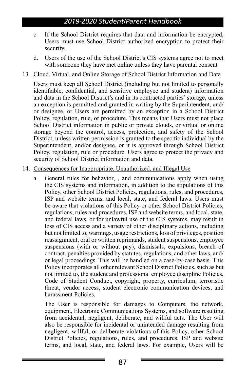- c. If the School District requires that data and information be encrypted, Users must use School District authorized encryption to protect their security.
- d. Users of the use of the School District's CIS systems agree not to meet with someone they have met online unless they have parental consent

#### 13. Cloud, Virtual, and Online Storage of School District Information and Data

Users must keep all School District (including but not limited to personally identifiable, confidential, and sensitive employee and student) information and data in the School District's and in its contracted parties' storage, unless an exception is permitted and granted in writing by the Superintendent, and/ or designee, or Users are permitted by an exception in a School District Policy, regulation, rule, or procedure. This means that Users must not place School District information in public or private clouds, or virtual or online storage beyond the control, access, protection, and safety of the School District, unless written permission is granted to the specific individual by the Superintendent, and/or designee, or it is approved through School District Policy, regulation, rule or procedure. Users agree to protect the privacy and security of School District information and data.

#### 14. Consequences for Inappropriate, Unauthorized, and Illegal Use

a. General rules for behavior, , and communications apply when using the CIS systems and information, in addition to the stipulations of this Policy, other School District Policies, regulations, rules, and procedures, ISP and website terms, and local, state, and federal laws. Users must be aware that violations of this Policy or other School District Policies, regulations, rules and procedures, ISP and website terms, and local, state, and federal laws, or for unlawful use of the CIS systems, may result in loss of CIS access and a variety of other disciplinary actions, including but not limited to, warnings, usage restrictions, loss of privileges, position reassignment, oral or written reprimands, student suspensions, employee suspensions (with or without pay), dismissals, expulsions, breach of contract, penalties provided by statutes, regulations, and other laws, and/ or legal proceedings. This will be handled on a case-by-case basis. This Policy incorporates all other relevant School District Policies, such as but not limited to, the student and professional employee discipline Policies, Code of Student Conduct, copyright, property, curriculum, terroristic threat, vendor access, student electronic communication devices, and harassment Policies.

The User is responsible for damages to Computers, the network, equipment, Electronic Communications Systems, and software resulting from accidental, negligent, deliberate, and willful acts. The User will also be responsible for incidental or unintended damage resulting from negligent, willful, or deliberate violations of this Policy, other School District Policies, regulations, rules, and procedures, ISP and website terms, and local, state, and federal laws. For example, Users will be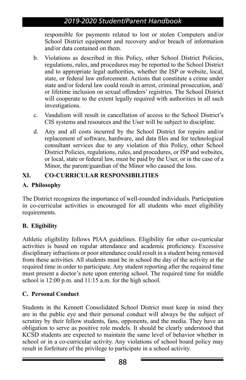responsible for payments related to lost or stolen Computers and/or School District equipment and recovery and/or breach of information and/or data contained on them.

- b. Violations as described in this Policy, other School District Policies, regulations, rules, and procedures may be reported to the School District and to appropriate legal authorities, whether the ISP or website, local, state, or federal law enforcement. Actions that constitute a crime under state and/or federal law could result in arrest, criminal prosecution, and/ or lifetime inclusion on sexual offenders' registries. The School District will cooperate to the extent legally required with authorities in all such investigations.
- c. Vandalism will result in cancellation of access to the School District's CIS systems and resources and the User will be subject to discipline.
- d. Any and all costs incurred by the School District for repairs and/or replacement of software, hardware, and data files and for technological consultant services due to any violation of this Policy, other School District Policies, regulations, rules, and procedures, or ISP and websites, or local, state or federal law, must be paid by the User, or in the case of a Minor, the parent/guardian of the Minor who caused the loss.

#### **XI. CO-CURRICULAR RESPONSIBILITIES**

#### **A. Philosophy**

The District recognizes the importance of well-rounded individuals. Participation in co-curricular activities is encouraged for all students who meet eligibility requirements.

#### **B. Eligibility**

Athletic eligibility follows PIAA guidelines. Eligibility for other co-curricular activities is based on regular attendance and academic proficiency. Excessive disciplinary infractions or poor attendance could result in a student being removed from these activities. All students must be in school the day of the activity at the required time in order to participate. Any student reporting after the required time must present a doctor's note upon entering school. The required time for middle school is 12:00 p.m. and 11:15 a.m. for the high school.

#### **C. Personal Conduct**

Students in the Kennett Consolidated School District must keep in mind they are in the public eye and their personal conduct will always be the subject of scrutiny by their fellow students, fans, opponents, and the media. They have an obligation to serve as positive role models. It should be clearly understood that KCSD students are expected to maintain the same level of behavior whether in school or in a co-curricular activity. Any violations of school board policy may result in forfeiture of the privilege to participate in a school activity.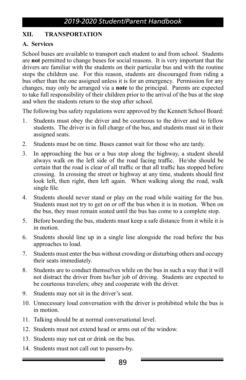#### **XII. TRANSPORTATION**

#### **A. Services**

School buses are available to transport each student to and from school. Students are **not** permitted to change buses for social reasons. It is very important that the drivers are familiar with the students on their particular bus and with the routine stops the children use. For this reason, students are discouraged from riding a bus other than the one assigned unless it is for an emergency. Permission for any changes, may only be arranged via a **note** to the principal. Parents are expected to take full responsibility of their children prior to the arrival of the bus at the stop and when the students return to the stop after school.

The following bus safety regulations were approved by the Kennett School Board:

- 1. Students must obey the driver and be courteous to the driver and to fellow students. The driver is in full charge of the bus, and students must sit in their assigned seats.
- 2. Students must be on time. Buses cannot wait for those who are tardy.
- 3. In approaching the bus or a bus stop along the highway, a student should always walk on the left side of the road facing traffic. He/she should be certain that the road is clear of all traffic or that all traffic has stopped before crossing. In crossing the street or highway at any time, students should first look left, then right, then left again. When walking along the road, walk single file.
- 4. Students should never stand or play on the road while waiting for the bus. Students must not try to get on or off the bus when it is in motion. When on the bus, they must remain seated until the bus has come to a complete stop.
- 5. Before boarding the bus, students must keep a safe distance from it while it is in motion.
- 6. Students should line up in a single line alongside the road before the bus approaches to load.
- 7. Students must enter the bus without crowding or disturbing others and occupy their seats immediately.
- 8. Students are to conduct themselves while on the bus in such a way that it will not distract the driver from his/her job of driving. Students are expected to be courteous travelers; obey and cooperate with the driver.
- 9. Students may not sit in the driver's seat.
- 10. Unnecessary loud conversation with the driver is prohibited while the bus is in motion.
- 11. Talking should be at normal conversational level.
- 12. Students must not extend head or arms out of the window.
- 13. Students may not eat or drink on the bus.
- 14. Students must not call out to passers-by.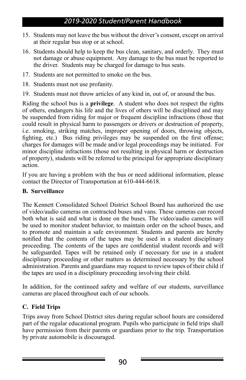- 15. Students may not leave the bus without the driver's consent, except on arrival at their regular bus stop or at school.
- 16. Students should help to keep the bus clean, sanitary, and orderly. They must not damage or abuse equipment. Any damage to the bus must be reported to the driver. Students may be charged for damage to bus seats.
- 17. Students are not permitted to smoke on the bus.
- 18. Students must not use profanity.
- 19. Students must not throw articles of any kind in, out of, or around the bus.

Riding the school bus is a **privilege**. A student who does not respect the rights of others, endangers his life and the lives of others will be disciplined and may be suspended from riding for major or frequent discipline infractions (those that could result in physical harm to passengers or drivers or destruction of property, i.e. smoking, striking matches, improper opening of doors, throwing objects, fighting, etc.) Bus riding privileges may be suspended on the first offense; charges for damages will be made and/or legal proceedings may be initiated. For minor discipline infractions (those not resulting in physical harm or destruction of property), students will be referred to the principal for appropriate disciplinary action.

If you are having a problem with the bus or need additional information, please contact the Director of Transportation at 610-444-6618.

#### **B. Surveillance**

The Kennett Consolidated School District School Board has authorized the use of video/audio cameras on contracted buses and vans. These cameras can record both what is said and what is done on the buses. The video/audio cameras will be used to monitor student behavior, to maintain order on the school buses, and to promote and maintain a safe environment. Students and parents are hereby notified that the contents of the tapes may be used in a student disciplinary proceeding. The contents of the tapes are confidential student records and will be safeguarded. Tapes will be retained only if necessary for use in a student disciplinary proceeding or other matters as determined necessary by the school administration. Parents and guardians may request to review tapes of their child if the tapes are used in a disciplinary proceeding involving their child.

In addition, for the continued safety and welfare of our students, surveillance cameras are placed throughout each of our schools.

#### **C. Field Trips**

Trips away from School District sites during regular school hours are considered part of the regular educational program. Pupils who participate in field trips shall have permission from their parents or guardians prior to the trip. Transportation by private automobile is discouraged.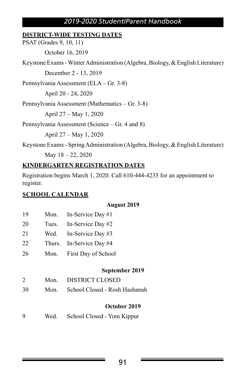#### **DISTRICT-WIDE TESTING DATES**

PSAT (Grades 9, 10, 11)

October 16, 2019

Keystone Exams - Winter Administration (Algebra, Biology, & English Literature)

December 2 - 13, 2019

Pennsylvania Assessment (ELA – Gr. 3-8)

April 20 - 24, 2020

Pennsylvania Assessment (Mathematics – Gr. 3-8)

April 27 – May 1, 2020

Pennsylvania Assessment (Science – Gr. 4 and 8)

April 27 – May 1, 2020

Keystone Exams - Spring Administration (Algebra, Biology, & English Literature) May 18 – 22, 2020

#### **KINDERGARTEN REGISTRATION DATES**

Registration begins March 1, 2020. Call 610-444-4235 for an appointment to register.

#### **SCHOOL CALENDAR**

#### **August 2019**

- 19 Mon. In-Service Day #1
- 20 Tues. In-Service Day #2
- 21 Wed. In-Service Day #3
- 22 Thurs. In-Service Day #4
- 26 Mon. First Day of School

#### **September 2019**

- 2 Mon. DISTRICT CLOSED
- 30 Mon. School Closed Rosh Hashanah

#### **October 2019**

9 Wed. School Closed - Yom Kippur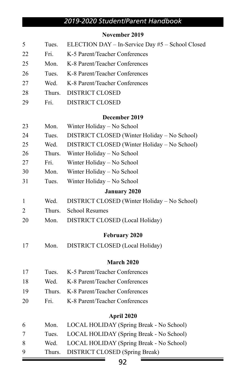#### **November 2019**

| 5  | Tues.  | ELECTION DAY - In-Service Day #5 - School Closed |
|----|--------|--------------------------------------------------|
| 22 | Fri.   | K-5 Parent/Teacher Conferences                   |
| 25 | Mon.   | K-8 Parent/Teacher Conferences                   |
| 26 | Tues.  | K-8 Parent/Teacher Conferences                   |
| 27 | Wed.   | K-8 Parent/Teacher Conferences                   |
| 28 | Thurs. | <b>DISTRICT CLOSED</b>                           |
| 29 | Fri.   | <b>DISTRICT CLOSED</b>                           |
|    |        | December 2019                                    |
| 23 | Mon.   | Winter Holiday - No School                       |
| 24 | Tues.  | DISTRICT CLOSED (Winter Holiday - No School)     |
| 25 | Wed.   | DISTRICT CLOSED (Winter Holiday - No School)     |
| 26 | Thurs. | Winter Holiday - No School                       |
| 27 | Fri.   | Winter Holiday - No School                       |
| 30 | Mon.   | Winter Holiday - No School                       |
| 31 | Tues.  | Winter Holiday - No School                       |
|    |        | <b>January 2020</b>                              |
| 1  | Wed.   | DISTRICT CLOSED (Winter Holiday - No School)     |
| 2  | Thurs. | <b>School Resumes</b>                            |
| 20 | Mon.   | DISTRICT CLOSED (Local Holiday)                  |
|    |        | February 2020                                    |
| 17 | Mon.   | DISTRICT CLOSED (Local Holiday)                  |
|    |        | <b>March 2020</b>                                |
| 17 | Tues.  | K-5 Parent/Teacher Conferences                   |
| 18 | Wed.   | K-8 Parent/Teacher Conferences                   |
| 19 | Thurs. | K-8 Parent/Teacher Conferences                   |
| 20 | Fri.   | K-8 Parent/Teacher Conferences                   |
|    |        | April 2020                                       |
| 6  | Mon.   | LOCAL HOLIDAY (Spring Break - No School)         |
| 7  | Tues.  | LOCAL HOLIDAY (Spring Break - No School)         |
| 8  | Wed.   | LOCAL HOLIDAY (Spring Break - No School)         |
| 9  | Thurs. | <b>DISTRICT CLOSED (Spring Break)</b>            |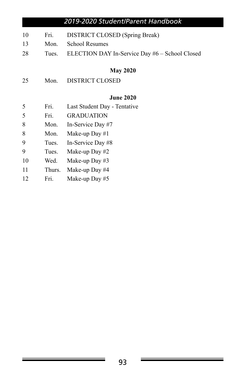- Fri. DISTRICT CLOSED (Spring Break)
- Mon. School Resumes
- Tues. ELECTION DAY In-Service Day #6 School Closed

#### **May 2020**

Mon. DISTRICT CLOSED

#### **June 2020**

 Fri. Last Student Day - Tentative Fri. GRADUATION Mon. In-Service Day #7 Mon. Make-up Day #1 Tues. In-Service Day #8 Tues. Make-up Day #2 Wed. Make-up Day #3 Thurs. Make-up Day #4 Fri. Make-up Day #5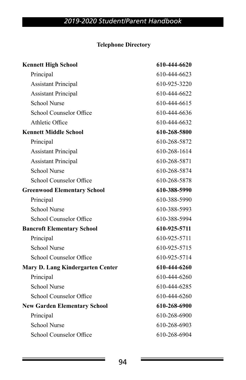## **Telephone Directory**

| <b>Kennett High School</b>          | 610-444-6620 |
|-------------------------------------|--------------|
| Principal                           | 610-444-6623 |
| <b>Assistant Principal</b>          | 610-925-3220 |
| <b>Assistant Principal</b>          | 610-444-6622 |
| <b>School Nurse</b>                 | 610-444-6615 |
| School Counselor Office             | 610-444-6636 |
| Athletic Office                     | 610-444-6632 |
| <b>Kennett Middle School</b>        | 610-268-5800 |
| Principal                           | 610-268-5872 |
| <b>Assistant Principal</b>          | 610-268-1614 |
| <b>Assistant Principal</b>          | 610-268-5871 |
| <b>School Nurse</b>                 | 610-268-5874 |
| School Counselor Office             | 610-268-5878 |
| <b>Greenwood Elementary School</b>  | 610-388-5990 |
| Principal                           | 610-388-5990 |
| <b>School Nurse</b>                 | 610-388-5993 |
| School Counselor Office             | 610-388-5994 |
| <b>Bancroft Elementary School</b>   | 610-925-5711 |
| Principal                           | 610-925-5711 |
| <b>School Nurse</b>                 | 610-925-5715 |
| School Counselor Office             | 610-925-5714 |
| Mary D. Lang Kindergarten Center    | 610-444-6260 |
| Principal                           | 610-444-6260 |
| <b>School Nurse</b>                 | 610-444-6285 |
| School Counselor Office             | 610-444-6260 |
| <b>New Garden Elementary School</b> | 610-268-6900 |
| Principal                           | 610-268-6900 |
| <b>School Nurse</b>                 | 610-268-6903 |
| School Counselor Office             | 610-268-6904 |

 $\overline{\phantom{a}}$ 

Ξ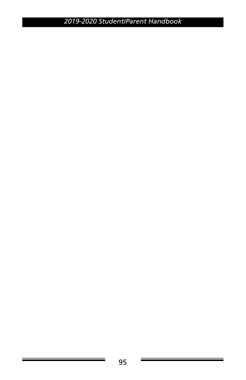$\overline{\phantom{a}}$ 

 $\equiv$   $\equiv$